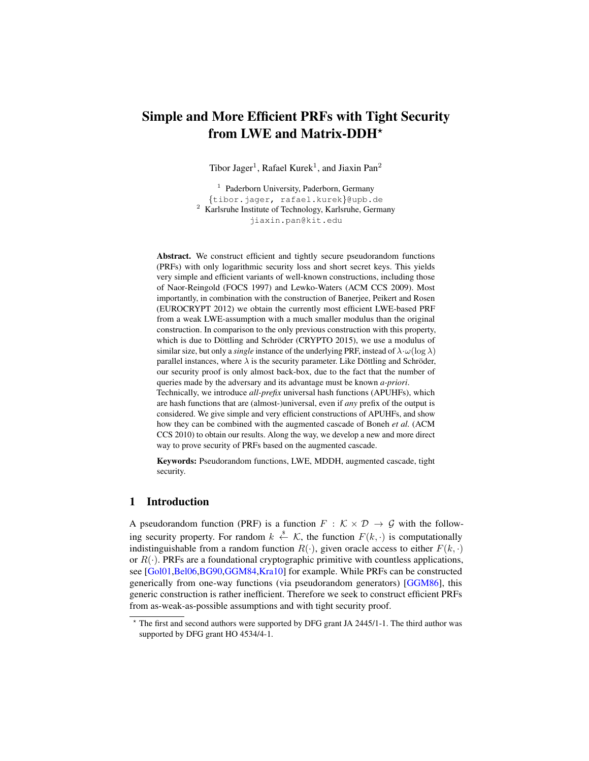# Simple and More Efficient PRFs with Tight Security from LWE and Matrix-DDH?

Tibor Jager<sup>1</sup>, Rafael Kurek<sup>1</sup>, and Jiaxin Pan<sup>2</sup>

<sup>1</sup> Paderborn University, Paderborn, Germany {tibor.jager, rafael.kurek}@upb.de <sup>2</sup> Karlsruhe Institute of Technology, Karlsruhe, Germany jiaxin.pan@kit.edu

Abstract. We construct efficient and tightly secure pseudorandom functions (PRFs) with only logarithmic security loss and short secret keys. This yields very simple and efficient variants of well-known constructions, including those of Naor-Reingold (FOCS 1997) and Lewko-Waters (ACM CCS 2009). Most importantly, in combination with the construction of Banerjee, Peikert and Rosen (EUROCRYPT 2012) we obtain the currently most efficient LWE-based PRF from a weak LWE-assumption with a much smaller modulus than the original construction. In comparison to the only previous construction with this property, which is due to Döttling and Schröder (CRYPTO 2015), we use a modulus of similar size, but only a *single* instance of the underlying PRF, instead of  $\lambda \cdot \omega(\log \lambda)$ parallel instances, where  $\lambda$  is the security parameter. Like Döttling and Schröder, our security proof is only almost back-box, due to the fact that the number of queries made by the adversary and its advantage must be known *a-priori*. Technically, we introduce *all-prefix* universal hash functions (APUHFs), which are hash functions that are (almost-)universal, even if *any* prefix of the output is considered. We give simple and very efficient constructions of APUHFs, and show how they can be combined with the augmented cascade of Boneh *et al.* (ACM CCS 2010) to obtain our results. Along the way, we develop a new and more direct way to prove security of PRFs based on the augmented cascade.

Keywords: Pseudorandom functions, LWE, MDDH, augmented cascade, tight security.

# 1 Introduction

A pseudorandom function (PRF) is a function  $F : \mathcal{K} \times \mathcal{D} \to \mathcal{G}$  with the following security property. For random  $k \stackrel{\$}{\leftarrow} \mathcal{K}$ , the function  $F(k, \cdot)$  is computationally indistinguishable from a random function  $R(\cdot)$ , given oracle access to either  $F(k, \cdot)$ or  $R(\cdot)$ . PRFs are a foundational cryptographic primitive with countless applications, see [\[Gol01](#page-25-0)[,Bel06](#page-24-0)[,BG90,](#page-24-1)[GGM84](#page-25-1)[,Kra10\]](#page-26-0) for example. While PRFs can be constructed generically from one-way functions (via pseudorandom generators) [\[GGM86\]](#page-25-2), this generic construction is rather inefficient. Therefore we seek to construct efficient PRFs from as-weak-as-possible assumptions and with tight security proof.

<sup>?</sup> The first and second authors were supported by DFG grant JA 2445/1-1. The third author was supported by DFG grant HO 4534/4-1.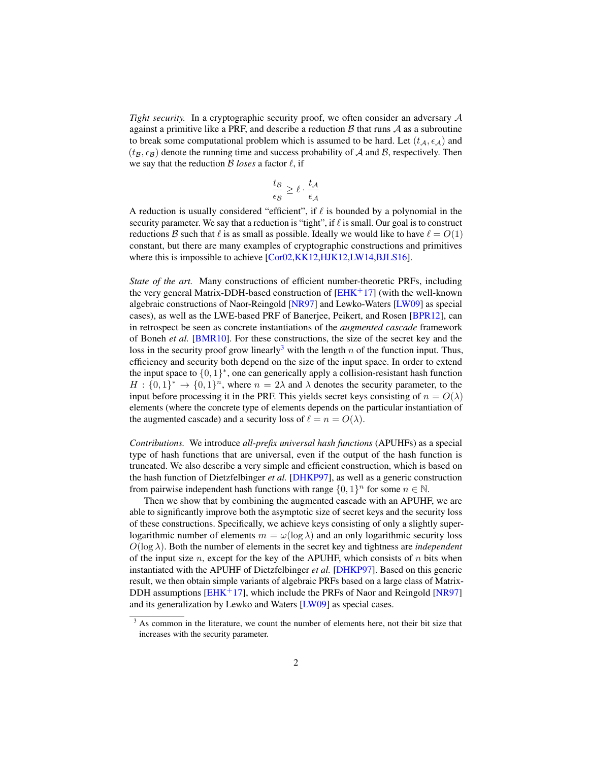*Tight security.* In a cryptographic security proof, we often consider an adversary A against a primitive like a PRF, and describe a reduction  $\beta$  that runs  $\mathcal A$  as a subroutine to break some computational problem which is assumed to be hard. Let  $(t_A, \epsilon_A)$  and  $(t_B, \epsilon_B)$  denote the running time and success probability of A and B, respectively. Then we say that the reduction  $\beta$  *loses* a factor  $\ell$ , if

$$
\frac{t_{\mathcal{B}}}{\epsilon_{\mathcal{B}}} \geq \ell \cdot \frac{t_{\mathcal{A}}}{\epsilon_{\mathcal{A}}}
$$

A reduction is usually considered "efficient", if  $\ell$  is bounded by a polynomial in the security parameter. We say that a reduction is "tight", if  $\ell$  is small. Our goal is to construct reductions B such that  $\ell$  is as small as possible. Ideally we would like to have  $\ell = O(1)$ constant, but there are many examples of cryptographic constructions and primitives where this is impossible to achieve [\[Cor02](#page-25-3)[,KK12,](#page-26-1)[HJK12](#page-25-4)[,LW14,](#page-26-2)[BJLS16\]](#page-24-2).

*State of the art.* Many constructions of efficient number-theoretic PRFs, including the very general Matrix-DDH-based construction of  $[EHK^+17]$  $[EHK^+17]$  (with the well-known algebraic constructions of Naor-Reingold [\[NR97\]](#page-26-3) and Lewko-Waters [\[LW09\]](#page-26-4) as special cases), as well as the LWE-based PRF of Banerjee, Peikert, and Rosen [\[BPR12\]](#page-25-6), can in retrospect be seen as concrete instantiations of the *augmented cascade* framework of Boneh *et al.* [\[BMR10\]](#page-25-7). For these constructions, the size of the secret key and the loss in the security proof grow linearly<sup>[3](#page-1-0)</sup> with the length n of the function input. Thus, efficiency and security both depend on the size of the input space. In order to extend the input space to  $\{0, 1\}^*$ , one can generically apply a collision-resistant hash function  $H: \{0,1\}^* \to \{0,1\}^n$ , where  $n = 2\lambda$  and  $\lambda$  denotes the security parameter, to the input before processing it in the PRF. This yields secret keys consisting of  $n = O(\lambda)$ elements (where the concrete type of elements depends on the particular instantiation of the augmented cascade) and a security loss of  $\ell = n = O(\lambda)$ .

*Contributions.* We introduce *all-prefix universal hash functions* (APUHFs) as a special type of hash functions that are universal, even if the output of the hash function is truncated. We also describe a very simple and efficient construction, which is based on the hash function of Dietzfelbinger *et al.* [\[DHKP97\]](#page-25-8), as well as a generic construction from pairwise independent hash functions with range  $\{0, 1\}^n$  for some  $n \in \mathbb{N}$ .

Then we show that by combining the augmented cascade with an APUHF, we are able to significantly improve both the asymptotic size of secret keys and the security loss of these constructions. Specifically, we achieve keys consisting of only a slightly superlogarithmic number of elements  $m = \omega(\log \lambda)$  and an only logarithmic security loss  $O(\log \lambda)$ . Both the number of elements in the secret key and tightness are *independent* of the input size  $n$ , except for the key of the APUHF, which consists of  $n$  bits when instantiated with the APUHF of Dietzfelbinger *et al.* [\[DHKP97\]](#page-25-8). Based on this generic result, we then obtain simple variants of algebraic PRFs based on a large class of Matrix-DDH assumptions  $[EHK^+17]$  $[EHK^+17]$ , which include the PRFs of Naor and Reingold  $[NR97]$ and its generalization by Lewko and Waters [\[LW09\]](#page-26-4) as special cases.

<span id="page-1-0"></span> $3$  As common in the literature, we count the number of elements here, not their bit size that increases with the security parameter.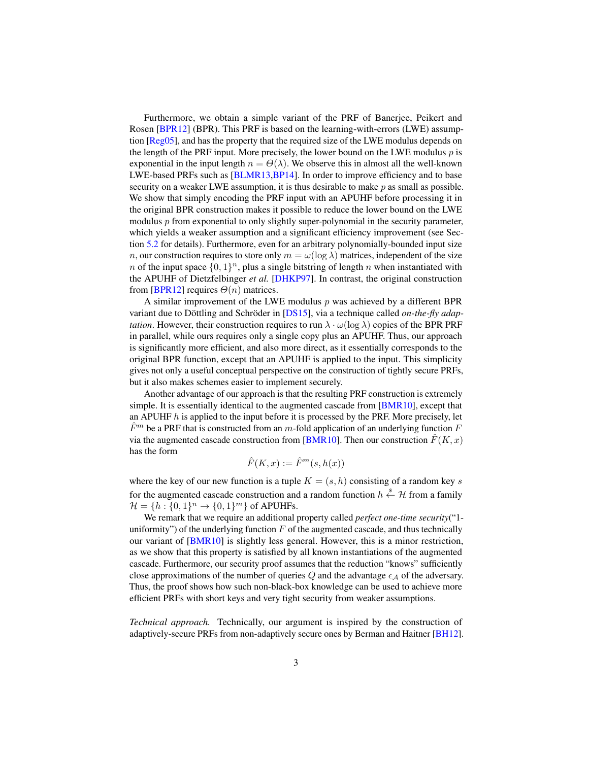Furthermore, we obtain a simple variant of the PRF of Banerjee, Peikert and Rosen [\[BPR12\]](#page-25-6) (BPR). This PRF is based on the learning-with-errors (LWE) assumption [\[Reg05\]](#page-26-5), and has the property that the required size of the LWE modulus depends on the length of the PRF input. More precisely, the lower bound on the LWE modulus  $p$  is exponential in the input length  $n = \Theta(\lambda)$ . We observe this in almost all the well-known LWE-based PRFs such as [\[BLMR13](#page-24-3), BP14]. In order to improve efficiency and to base security on a weaker LWE assumption, it is thus desirable to make p as small as possible. We show that simply encoding the PRF input with an APUHF before processing it in the original BPR construction makes it possible to reduce the lower bound on the LWE modulus  $p$  from exponential to only slightly super-polynomial in the security parameter, which yields a weaker assumption and a significant efficiency improvement (see Section [5.2](#page-20-0) for details). Furthermore, even for an arbitrary polynomially-bounded input size n, our construction requires to store only  $m = \omega(\log \lambda)$  matrices, independent of the size n of the input space  $\{0,1\}^n$ , plus a single bitstring of length n when instantiated with the APUHF of Dietzfelbinger *et al.* [\[DHKP97\]](#page-25-8). In contrast, the original construction from [\[BPR12\]](#page-25-6) requires  $\Theta(n)$  matrices.

A similar improvement of the LWE modulus  $p$  was achieved by a different BPR variant due to Döttling and Schröder in [[DS15\]](#page-25-10), via a technique called *on-the-fly adaptation*. However, their construction requires to run  $\lambda \cdot \omega(\log \lambda)$  copies of the BPR PRF in parallel, while ours requires only a single copy plus an APUHF. Thus, our approach is significantly more efficient, and also more direct, as it essentially corresponds to the original BPR function, except that an APUHF is applied to the input. This simplicity gives not only a useful conceptual perspective on the construction of tightly secure PRFs, but it also makes schemes easier to implement securely.

Another advantage of our approach is that the resulting PRF construction is extremely simple. It is essentially identical to the augmented cascade from [\[BMR10\]](#page-25-7), except that an APUHF  $h$  is applied to the input before it is processed by the PRF. More precisely, let  $F<sup>m</sup>$  be a PRF that is constructed from an m-fold application of an underlying function F via the augmented cascade construction from [\[BMR10\]](#page-25-7). Then our construction  $F(K, x)$ has the form

$$
\hat{F}(K, x) := \hat{F}^m(s, h(x))
$$

where the key of our new function is a tuple  $K = (s, h)$  consisting of a random key s for the augmented cascade construction and a random function  $h \stackrel{\$}{\leftarrow} H$  from a family  $\mathcal{H} = \{h : \{0, 1\}^n \to \{0, 1\}^m\}$  of APUHFs.

We remark that we require an additional property called *perfect one-time security*("1 uniformity") of the underlying function  $F$  of the augmented cascade, and thus technically our variant of [\[BMR10\]](#page-25-7) is slightly less general. However, this is a minor restriction, as we show that this property is satisfied by all known instantiations of the augmented cascade. Furthermore, our security proof assumes that the reduction "knows" sufficiently close approximations of the number of queries  $Q$  and the advantage  $\epsilon_A$  of the adversary. Thus, the proof shows how such non-black-box knowledge can be used to achieve more efficient PRFs with short keys and very tight security from weaker assumptions.

*Technical approach.* Technically, our argument is inspired by the construction of adaptively-secure PRFs from non-adaptively secure ones by Berman and Haitner [\[BH12\]](#page-24-4).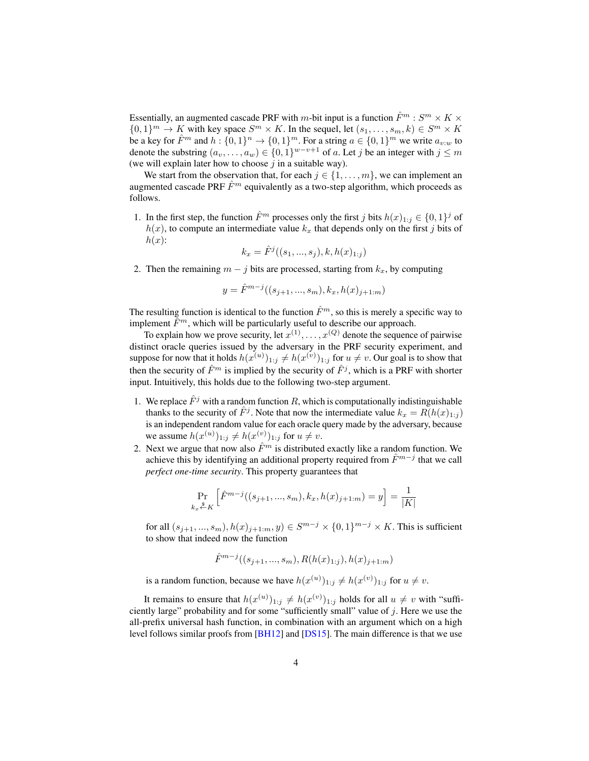Essentially, an augmented cascade PRF with m-bit input is a function  $\hat{F}^m : S^m \times K \times$  $\{0,1\}^m \to K$  with key space  $S^m \times K$ . In the sequel, let  $(s_1, \ldots, s_m, k) \in S^m \times K$ be a key for  $\hat{F}^m$  and  $h: \{0,1\}^n \to \{0,1\}^m$ . For a string  $a \in \{0,1\}^m$  we write  $a_{v:w}$  to denote the substring  $(a_v, \dots, a_w) \in \{0, 1\}^{w-v+1}$  of a. Let j be an integer with  $j \leq m$ (we will explain later how to choose  $j$  in a suitable way).

We start from the observation that, for each  $j \in \{1, \ldots, m\}$ , we can implement an augmented cascade PRF  $\hat{F}^m$  equivalently as a two-step algorithm, which proceeds as follows.

1. In the first step, the function  $\hat{F}^m$  processes only the first j bits  $h(x)_{1:j} \in \{0,1\}^j$  of  $h(x)$ , to compute an intermediate value  $k_x$  that depends only on the first j bits of  $h(x)$ :

$$
k_x = \hat{F}^j((s_1, ..., s_j), k, h(x)_{1:j})
$$

2. Then the remaining  $m - j$  bits are processed, starting from  $k_x$ , by computing

$$
y = \hat{F}^{m-j}((s_{j+1}, ..., s_m), k_x, h(x)_{j+1:m})
$$

The resulting function is identical to the function  $\hat{F}^m$ , so this is merely a specific way to implement  $\hat{F}^m$ , which will be particularly useful to describe our approach.

To explain how we prove security, let  $x^{(1)}, \ldots, x^{(Q)}$  denote the sequence of pairwise distinct oracle queries issued by the adversary in the PRF security experiment, and suppose for now that it holds  $h(x^{(u)})_{1:j} \neq h(x^{(v)})_{1:j}$  for  $u \neq v$ . Our goal is to show that then the security of  $\hat{F}^m$  is implied by the security of  $\hat{F}^j$ , which is a PRF with shorter input. Intuitively, this holds due to the following two-step argument.

- 1. We replace  $\hat{F}^j$  with a random function R, which is computationally indistinguishable thanks to the security of  $\hat{F}^j$ . Note that now the intermediate value  $k_x = R(h(x)_{1:j})$ is an independent random value for each oracle query made by the adversary, because we assume  $h(x^{(u)})_{1:j} \neq h(x^{(v)})_{1:j}$  for  $u \neq v$ .
- 2. Next we argue that now also  $\hat{F}^m$  is distributed exactly like a random function. We achieve this by identifying an additional property required from  $\hat{F}^{m-j}$  that we call *perfect one-time security*. This property guarantees that

$$
\Pr_{k_x \stackrel{\$}{\leftarrow} K} \left[ \hat{F}^{m-j}((s_{j+1}, ..., s_m), k_x, h(x)_{j+1:m}) = y \right] = \frac{1}{|K|}
$$

for all  $(s_{j+1},...,s_m), h(x)_{j+1:m}, y) \in S^{m-j} \times \{0,1\}^{m-j} \times K$ . This is sufficient to show that indeed now the function

$$
\hat{F}^{m-j}((s_{j+1},...,s_m),R(h(x)_{1:j}),h(x)_{j+1:m})
$$

is a random function, because we have  $h(x^{(u)})_{1:j} \neq h(x^{(v)})_{1:j}$  for  $u \neq v$ .

It remains to ensure that  $h(x^{(u)})_{1:j} \neq h(x^{(v)})_{1:j}$  holds for all  $u \neq v$  with "sufficiently large" probability and for some "sufficiently small" value of  $j$ . Here we use the all-prefix universal hash function, in combination with an argument which on a high level follows similar proofs from [\[BH12\]](#page-24-4) and [\[DS15\]](#page-25-10). The main difference is that we use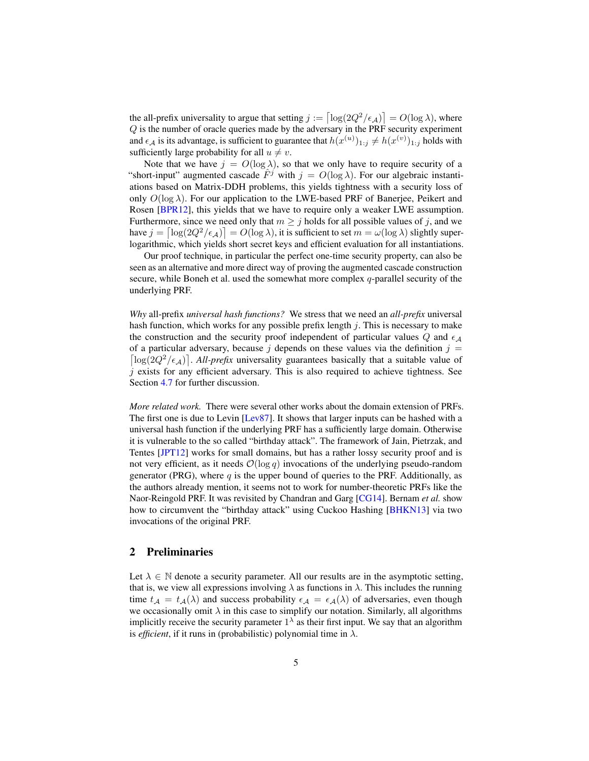the all-prefix universality to argue that setting  $j := \left\lceil \log(2Q^2/\epsilon_{\mathcal{A}}) \right\rceil = O(\log \lambda)$ , where Q is the number of oracle queries made by the adversary in the PRF security experiment and  $\epsilon_{\mathcal{A}}$  is its advantage, is sufficient to guarantee that  $h(x^{(u)})_{1:j} \neq h(x^{(v)})_{1:j}$  holds with sufficiently large probability for all  $u \neq v$ .

Note that we have  $j = O(\log \lambda)$ , so that we only have to require security of a "short-input" augmented cascade  $\hat{F}^j$  with  $j = O(\log \lambda)$ . For our algebraic instantiations based on Matrix-DDH problems, this yields tightness with a security loss of only  $O(\log \lambda)$ . For our application to the LWE-based PRF of Banerjee, Peikert and Rosen [\[BPR12\]](#page-25-6), this yields that we have to require only a weaker LWE assumption. Furthermore, since we need only that  $m \geq j$  holds for all possible values of j, and we have  $j = \lceil \log(2Q^2/\epsilon_{\mathcal{A}}) \rceil = O(\log \lambda)$ , it is sufficient to set  $m = \omega(\log \lambda)$  slightly superlogarithmic, which yields short secret keys and efficient evaluation for all instantiations.

Our proof technique, in particular the perfect one-time security property, can also be seen as an alternative and more direct way of proving the augmented cascade construction secure, while Boneh et al. used the somewhat more complex  $q$ -parallel security of the underlying PRF.

*Why* all-prefix *universal hash functions?* We stress that we need an *all-prefix* universal hash function, which works for any possible prefix length j. This is necessary to make the construction and the security proof independent of particular values Q and  $\epsilon_A$ of a particular adversary, because j depends on these values via the definition  $j =$  $\lceil \log(2Q^2/\epsilon_A) \rceil$ . *All-prefix* universality guarantees basically that a suitable value of  $j$  exists for any efficient adversary. This is also required to achieve tightness. See Section [4.7](#page-15-0) for further discussion.

*More related work.* There were several other works about the domain extension of PRFs. The first one is due to Levin [\[Lev87\]](#page-26-6). It shows that larger inputs can be hashed with a universal hash function if the underlying PRF has a sufficiently large domain. Otherwise it is vulnerable to the so called "birthday attack". The framework of Jain, Pietrzak, and Tentes [\[JPT12\]](#page-26-7) works for small domains, but has a rather lossy security proof and is not very efficient, as it needs  $\mathcal{O}(\log q)$  invocations of the underlying pseudo-random generator (PRG), where  $q$  is the upper bound of queries to the PRF. Additionally, as the authors already mention, it seems not to work for number-theoretic PRFs like the Naor-Reingold PRF. It was revisited by Chandran and Garg [\[CG14\]](#page-25-11). Bernam *et al.* show how to circumvent the "birthday attack" using Cuckoo Hashing [\[BHKN13\]](#page-24-5) via two invocations of the original PRF.

# 2 Preliminaries

Let  $\lambda \in \mathbb{N}$  denote a security parameter. All our results are in the asymptotic setting, that is, we view all expressions involving  $\lambda$  as functions in  $\lambda$ . This includes the running time  $t_A = t_A(\lambda)$  and success probability  $\epsilon_A = \epsilon_A(\lambda)$  of adversaries, even though we occasionally omit  $\lambda$  in this case to simplify our notation. Similarly, all algorithms implicitly receive the security parameter  $1^{\lambda}$  as their first input. We say that an algorithm is *efficient*, if it runs in (probabilistic) polynomial time in  $\lambda$ .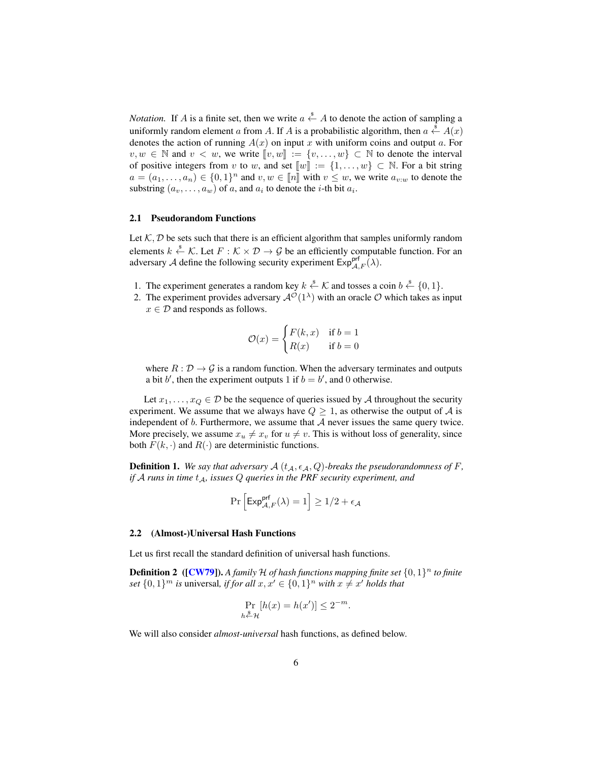*Notation.* If A is a finite set, then we write  $a \stackrel{\$}{\leftarrow} A$  to denote the action of sampling a uniformly random element a from A. If A is a probabilistic algorithm, then  $a \stackrel{\$}{\leftarrow} A(x)$ denotes the action of running  $A(x)$  on input x with uniform coins and output a. For  $v, w \in \mathbb{N}$  and  $v < w$ , we write  $[v, w] := \{v, \ldots, w\} \subset \mathbb{N}$  to denote the interval of positive integers from v to w, and set  $\llbracket w \rrbracket := \{1, \ldots, w\} \subset \mathbb{N}$ . For a bit string  $a = (a_1, \dots, a_n) \in \{0, 1\}^n$  and  $v, w \in [n]$  with  $v \leq w$ , we write  $a_{v,w}$  to denote the substring  $(a_1, \dots, a_n)$  of a and a to denote the *i* th bit  $a_1$ substring  $(a_v, \ldots, a_w)$  of a, and  $a_i$  to denote the *i*-th bit  $a_i$ .

#### 2.1 Pseudorandom Functions

Let  $K, D$  be sets such that there is an efficient algorithm that samples uniformly random elements  $k \stackrel{\$}{\leftarrow} \mathcal{K}$ . Let  $F : \mathcal{K} \times \mathcal{D} \to \mathcal{G}$  be an efficiently computable function. For an adversary A define the following security experiment  $\text{Exp}_{A,F}^{\text{prf}}(\lambda)$ .

- 1. The experiment generates a random key  $k \stackrel{\text{d}}{\leftarrow} \mathcal{K}$  and tosses a coin  $b \stackrel{\text{d}}{\leftarrow} \{0, 1\}$ .
- 2. The experiment provides adversary  $\mathcal{A}^{\mathcal{O}}(1^{\lambda})$  with an oracle  $\mathcal{O}$  which takes as input  $x \in \mathcal{D}$  and responds as follows.

$$
\mathcal{O}(x) = \begin{cases} F(k, x) & \text{if } b = 1 \\ R(x) & \text{if } b = 0 \end{cases}
$$

where  $R: \mathcal{D} \to \mathcal{G}$  is a random function. When the adversary terminates and outputs a bit b', then the experiment outputs 1 if  $b = b'$ , and 0 otherwise.

Let  $x_1, \ldots, x_Q \in \mathcal{D}$  be the sequence of queries issued by A throughout the security experiment. We assume that we always have  $Q \geq 1$ , as otherwise the output of A is independent of  $b$ . Furthermore, we assume that  $A$  never issues the same query twice. More precisely, we assume  $x_u \neq x_v$  for  $u \neq v$ . This is without loss of generality, since both  $F(k, \cdot)$  and  $R(\cdot)$  are deterministic functions.

<span id="page-5-1"></span>**Definition 1.** We say that adversary  $A(t_A, \epsilon_A, Q)$ -breaks the pseudorandomness of F, *if*  $A$  *runs in time*  $t_A$ *, issues*  $Q$  *queries in the PRF security experiment, and* 

$$
\Pr\left[\mathsf{Exp}_{\mathcal{A},F}^{\mathsf{prf}}(\lambda) = 1\right] \ge 1/2 + \epsilon_{\mathcal{A}}
$$

#### 2.2 (Almost-)Universal Hash Functions

Let us first recall the standard definition of universal hash functions.

**Definition 2** ([\[CW79\]](#page-25-12)). A family H of hash functions mapping finite set  $\{0,1\}^n$  to finite *set*  $\{0, 1\}^m$  *is* universal, *if for all*  $x, x' \in \{0, 1\}^n$  *with*  $x \neq x'$  *holds that* 

<span id="page-5-0"></span>
$$
\Pr_{h \stackrel{\$}{\leftarrow} \mathcal{H}}[h(x) = h(x')] \le 2^{-m}.
$$

We will also consider *almost-universal* hash functions, as defined below.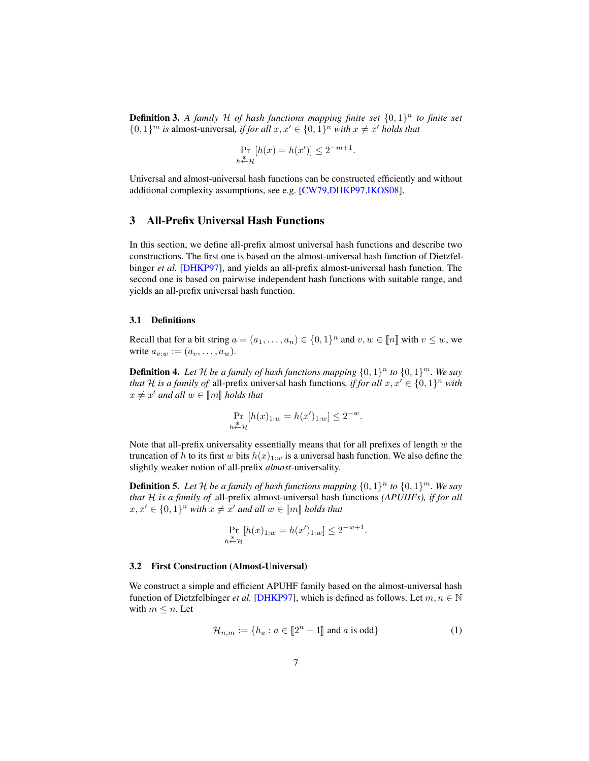**Definition 3.** A family H of hash functions mapping finite set  $\{0,1\}^n$  to finite set  $\{0, 1\}^m$  *is* almost-universal, *if for all*  $x, x' \in \{0, 1\}^n$  *with*  $x \neq x'$  *holds that* 

$$
\Pr_{h \stackrel{\$}{\leftarrow} \mathcal{H}} [h(x) = h(x')] \le 2^{-m+1}.
$$

Universal and almost-universal hash functions can be constructed efficiently and without additional complexity assumptions, see e.g. [\[CW79](#page-25-12)[,DHKP97,](#page-25-8)[IKOS08\]](#page-26-8).

# 3 All-Prefix Universal Hash Functions

In this section, we define all-prefix almost universal hash functions and describe two constructions. The first one is based on the almost-universal hash function of Dietzfelbinger *et al.* [\[DHKP97\]](#page-25-8), and yields an all-prefix almost-universal hash function. The second one is based on pairwise independent hash functions with suitable range, and yields an all-prefix universal hash function.

#### 3.1 Definitions

Recall that for a bit string  $a = (a_1, \dots, a_n) \in \{0, 1\}^n$  and  $v, w \in [n]$  with  $v \leq w$ , we write  $a \in [a, a]$ write  $a_{v:w} := (a_v, \ldots, a_w)$ .

**Definition 4.** Let H be a family of hash functions mapping  $\{0,1\}^n$  to  $\{0,1\}^m$ . We say *that*  $H$  *is a family of* all-prefix universal hash functions, if for all  $x, x' \in \{0, 1\}^n$  with  $x \neq x'$  and all  $w \in [\![m]\!]$  holds that

<span id="page-6-0"></span>
$$
\Pr_{h \stackrel{\$}{\leftarrow} \mathcal{H}}[h(x)_{1:w} = h(x')_{1:w}] \le 2^{-w}.
$$

Note that all-prefix universality essentially means that for all prefixes of length  $w$  the truncation of h to its first w bits  $h(x)_{1:w}$  is a universal hash function. We also define the slightly weaker notion of all-prefix *almost*-universality.

**Definition 5.** Let H be a family of hash functions mapping  $\{0,1\}^n$  to  $\{0,1\}^m$ . We say *that* H *is a family of* all-prefix almost-universal hash functions *(APUHFs), if for all*  $x, x' \in \{0, 1\}^n$  *with*  $x \neq x'$  *and all*  $w \in [m]$  *holds that* 

$$
\Pr_{h \stackrel{\$}{\leftarrow} \mathcal{H}} [h(x)_{1:w} = h(x')_{1:w}] \le 2^{-w+1}.
$$

### <span id="page-6-1"></span>3.2 First Construction (Almost-Universal)

We construct a simple and efficient APUHF family based on the almost-universal hash function of Dietzfelbinger *et al.* [\[DHKP97\]](#page-25-8), which is defined as follows. Let  $m, n \in \mathbb{N}$ with  $m \leq n$ . Let

$$
\mathcal{H}_{n,m} := \{ h_a : a \in [\![2^n - 1]\!]\text{ and } a \text{ is odd} \}
$$
 (1)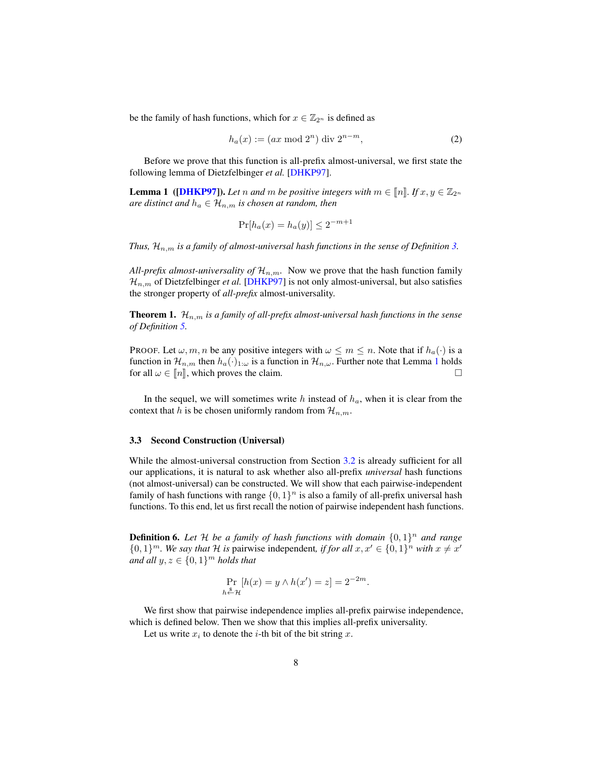be the family of hash functions, which for  $x \in \mathbb{Z}_{2^n}$  is defined as

<span id="page-7-0"></span>
$$
h_a(x) := (ax \bmod 2^n) \text{ div } 2^{n-m}, \qquad (2)
$$

Before we prove that this function is all-prefix almost-universal, we first state the following lemma of Dietzfelbinger *et al.* [\[DHKP97\]](#page-25-8).

**Lemma 1** ([\[DHKP97\]](#page-25-8)). Let n and m be positive integers with  $m \in [n]$ . If  $x, y \in \mathbb{Z}_{2^n}$ *are distinct and*  $h_a \in \mathcal{H}_{n,m}$  *is chosen at random, then* 

$$
\Pr[h_a(x) = h_a(y)] \le 2^{-m+1}
$$

*Thus,*  $\mathcal{H}_{n,m}$  *is a family of almost-universal hash functions in the sense of Definition* [3.](#page-5-0)

*All-prefix almost-universality of*  $\mathcal{H}_{n,m}$ . Now we prove that the hash function family  $\mathcal{H}_{n,m}$  of Dietzfelbinger *et al.* [\[DHKP97\]](#page-25-8) is not only almost-universal, but also satisfies the stronger property of *all-prefix* almost-universality.

**Theorem 1.**  $\mathcal{H}_{n,m}$  *is a family of all-prefix almost-universal hash functions in the sense of Definition [5.](#page-6-0)*

PROOF. Let  $\omega, m, n$  be any positive integers with  $\omega \leq m \leq n$ . Note that if  $h_a(\cdot)$  is a function in  $\mathcal{H}_{n,m}$  then  $h_a(\cdot)_{1:\omega}$  $h_a(\cdot)_{1:\omega}$  $h_a(\cdot)_{1:\omega}$  is a function in  $\mathcal{H}_{n,\omega}$ . Further note that Lemma 1 holds for all  $\omega \in [n]$ , which proves the claim.

In the sequel, we will sometimes write h instead of  $h_a$ , when it is clear from the context that h is be chosen uniformly random from  $\mathcal{H}_{n,m}$ .

#### 3.3 Second Construction (Universal)

While the almost-universal construction from Section [3.2](#page-6-1) is already sufficient for all our applications, it is natural to ask whether also all-prefix *universal* hash functions (not almost-universal) can be constructed. We will show that each pairwise-independent family of hash functions with range  $\{0, 1\}^n$  is also a family of all-prefix universal hash functions. To this end, let us first recall the notion of pairwise independent hash functions.

**Definition 6.** Let H be a family of hash functions with domain  $\{0,1\}^n$  and range  $\{0, 1\}^m$ . We say that H is pairwise independent, if for all  $x, x' \in \{0, 1\}^n$  with  $x \neq x'$ *and all*  $y, z \in \{0, 1\}^m$  *holds that* 

$$
\Pr_{h \stackrel{\$}{\leftarrow} \mathcal{H}} [h(x) = y \land h(x') = z] = 2^{-2m}.
$$

We first show that pairwise independence implies all-prefix pairwise independence, which is defined below. Then we show that this implies all-prefix universality.

Let us write  $x_i$  to denote the *i*-th bit of the bit string x.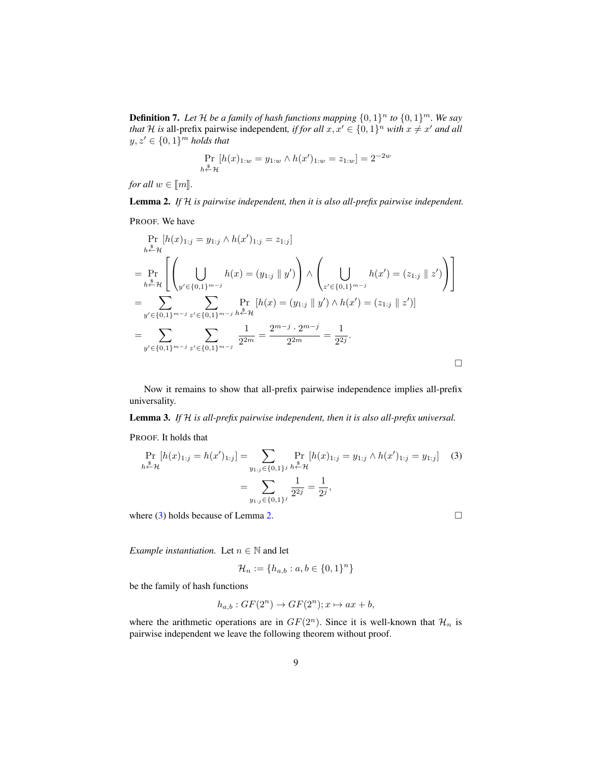**Definition 7.** Let H be a family of hash functions mapping  $\{0,1\}^n$  to  $\{0,1\}^m$ . We say *that*  $H$  *is* all-prefix pairwise independent, *if for all*  $x, x' \in \{0, 1\}^n$  *with*  $x \neq x'$  *and all*  $y, z' \in \{0, 1\}^m$  *holds that* 

$$
\Pr_{h \stackrel{\$}{\leftarrow} \mathcal{H}} [h(x)_{1:w} = y_{1:w} \land h(x')_{1:w} = z_{1:w}] = 2^{-2w}
$$

*for all*  $w \in [m]$ *.* 

<span id="page-8-1"></span>Lemma 2. *If* H *is pairwise independent, then it is also all-prefix pairwise independent.*

PROOF. We have

$$
\Pr_{h \stackrel{s}{\leftarrow} \mathcal{H}} [h(x)_{1:j} = y_{1:j} \wedge h(x')_{1:j} = z_{1:j}]
$$
\n
$$
= \Pr_{h \stackrel{s}{\leftarrow} \mathcal{H}} \left[ \left( \bigcup_{y' \in \{0,1\}^{m-j}} h(x) = (y_{1:j} \parallel y') \right) \wedge \left( \bigcup_{z' \in \{0,1\}^{m-j}} h(x') = (z_{1:j} \parallel z') \right) \right]
$$
\n
$$
= \sum_{y' \in \{0,1\}^{m-j}} \sum_{z' \in \{0,1\}^{m-j}} \Pr_{h \stackrel{s}{\leftarrow} \mathcal{H}} [h(x) = (y_{1:j} \parallel y') \wedge h(x') = (z_{1:j} \parallel z')]
$$
\n
$$
= \sum_{y' \in \{0,1\}^{m-j}} \sum_{z' \in \{0,1\}^{m-j}} \frac{1}{2^{2m}} = \frac{2^{m-j} \cdot 2^{m-j}}{2^{2m}} = \frac{1}{2^{2j}}.
$$

Now it remains to show that all-prefix pairwise independence implies all-prefix universality.

Lemma 3. *If* H *is all-prefix pairwise independent, then it is also all-prefix universal.*

PROOF. It holds that

$$
\Pr_{h \stackrel{s}{\leftarrow} \mathcal{H}} [h(x)_{1:j} = h(x')_{1:j}] = \sum_{y_{1:j} \in \{0,1\}^j} \Pr_{h \stackrel{s}{\leftarrow} \mathcal{H}} [h(x)_{1:j} = y_{1:j} \wedge h(x')_{1:j} = y_{1:j}] \quad (3)
$$

$$
= \sum_{y_{1:j} \in \{0,1\}^j} \frac{1}{2^{2j}} = \frac{1}{2^j},
$$

where [\(3\)](#page-8-0) holds because of Lemma [2.](#page-8-1)  $\Box$ 

*Example instantiation.* Let  $n \in \mathbb{N}$  and let

$$
\mathcal{H}_n := \{ h_{a,b} : a, b \in \{0,1\}^n \}
$$

be the family of hash functions

$$
h_{a,b}: GF(2^n) \to GF(2^n); x \mapsto ax + b,
$$

where the arithmetic operations are in  $GF(2<sup>n</sup>)$ . Since it is well-known that  $\mathcal{H}_n$  is pairwise independent we leave the following theorem without proof.

<span id="page-8-0"></span>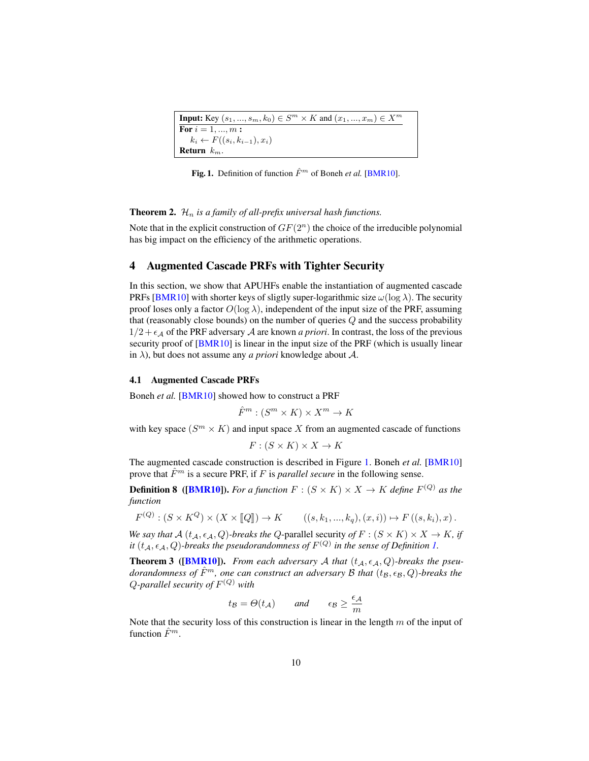**Input:** Key  $(s_1, ..., s_m, k_0) \in S^m \times K$  and  $(x_1, ..., x_m) \in X^m$ For  $i = 1, ..., m$  :  $k_i \leftarrow F((s_i, k_{i-1}), x_i)$ Return  $k_m$ .

<span id="page-9-0"></span>Fig. 1. Definition of function  $\hat{F}^m$  of Boneh et al. [\[BMR10\]](#page-25-7).

### **Theorem 2.**  $\mathcal{H}_n$  *is a family of all-prefix universal hash functions.*

Note that in the explicit construction of  $GF(2<sup>n</sup>)$  the choice of the irreducible polynomial has big impact on the efficiency of the arithmetic operations.

### 4 Augmented Cascade PRFs with Tighter Security

In this section, we show that APUHFs enable the instantiation of augmented cascade PRFs [\[BMR10\]](#page-25-7) with shorter keys of sligtly super-logarithmic size  $\omega(\log \lambda)$ . The security proof loses only a factor  $O(\log \lambda)$ , independent of the input size of the PRF, assuming that (reasonably close bounds) on the number of queries  $Q$  and the success probability  $1/2 + \epsilon_A$  of the PRF adversary A are known *a priori*. In contrast, the loss of the previous security proof of [\[BMR10\]](#page-25-7) is linear in the input size of the PRF (which is usually linear in  $\lambda$ ), but does not assume any *a priori* knowledge about  $\mathcal{A}$ .

#### 4.1 Augmented Cascade PRFs

Boneh *et al.* [\[BMR10\]](#page-25-7) showed how to construct a PRF

$$
\hat{F}^m : (S^m \times K) \times X^m \to K
$$

with key space  $(S^m \times K)$  and input space X from an augmented cascade of functions

$$
F: (S \times K) \times X \to K
$$

The augmented cascade construction is described in Figure [1.](#page-9-0) Boneh *et al.* [\[BMR10\]](#page-25-7) prove that  $\hat{F}^m$  is a secure PRF, if F is *parallel secure* in the following sense.

**Definition 8** ([\[BMR10\]](#page-25-7)). *For a function*  $F : (S \times K) \times X \rightarrow K$  *define*  $F^{(Q)}$  *as the function*

$$
F^{(Q)} : (S \times K^Q) \times (X \times [Q]) \to K
$$
  $((s, k_1, ..., k_q), (x, i)) \mapsto F((s, k_i), x).$ 

*We say that*  $A(t_A, \epsilon_A, Q)$ *-breaks the*  $Q$ -parallel security of  $F : (S \times K) \times X \to K$ *, if* it  $(t_A, \epsilon_A, Q)$ -breaks the pseudorandomness of  $F^{(Q)}$  in the sense of Definition [1.](#page-5-1)

**Theorem 3** ([\[BMR10\]](#page-25-7)). *From each adversary* A *that*  $(t_A, \epsilon_A, Q)$ *-breaks the pseudorandomness of*  $\hat{F}^m$ , one can construct an adversary  $\hat{B}$  that  $(t_B, \epsilon_B, Q)$ *-breaks the* Q*-parallel security of* F (Q) *with*

$$
t_{\mathcal{B}} = \Theta(t_{\mathcal{A}})
$$
 and  $\epsilon_{\mathcal{B}} \ge \frac{\epsilon_{\mathcal{A}}}{m}$ 

Note that the security loss of this construction is linear in the length  $m$  of the input of function  $\hat{F}^m$ .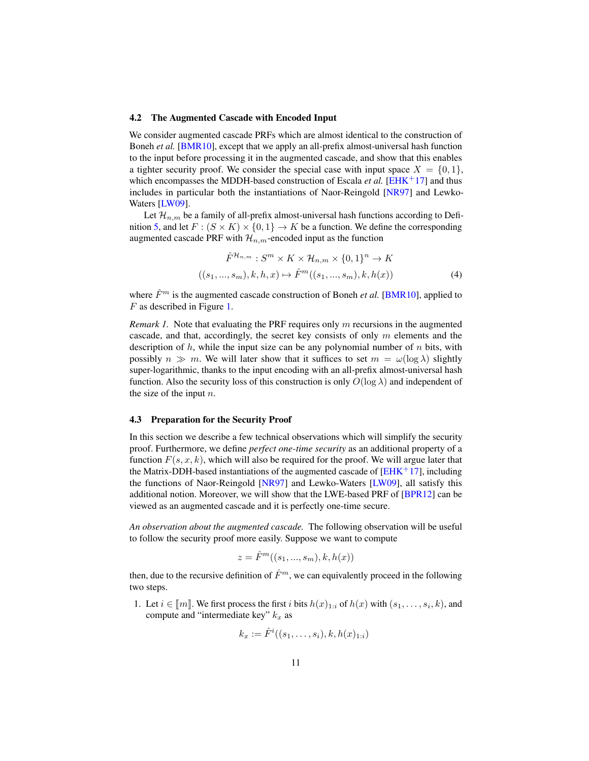#### 4.2 The Augmented Cascade with Encoded Input

We consider augmented cascade PRFs which are almost identical to the construction of Boneh *et al.* [\[BMR10\]](#page-25-7), except that we apply an all-prefix almost-universal hash function to the input before processing it in the augmented cascade, and show that this enables a tighter security proof. We consider the special case with input space  $X = \{0, 1\}$ , which encompasses the MDDH-based construction of Escala *et al.* [\[EHK](#page-25-5)<sup>+</sup>17] and thus includes in particular both the instantiations of Naor-Reingold [\[NR97\]](#page-26-3) and Lewko-Waters [\[LW09\]](#page-26-4).

Let  $\mathcal{H}_{n,m}$  be a family of all-prefix almost-universal hash functions according to Defi-nition [5,](#page-6-0) and let  $F : (S \times K) \times \{0, 1\} \to K$  be a function. We define the corresponding augmented cascade PRF with  $\mathcal{H}_{n,m}$ -encoded input as the function

<span id="page-10-0"></span>
$$
\hat{F}^{\mathcal{H}_{n,m}}: S^m \times K \times \mathcal{H}_{n,m} \times \{0,1\}^n \to K
$$
  

$$
((s_1, ..., s_m), k, h, x) \mapsto \hat{F}^m((s_1, ..., s_m), k, h(x))
$$
 (4)

where  $\hat{F}^m$  is the augmented cascade construction of Boneh *et al.* [\[BMR10\]](#page-25-7), applied to F as described in Figure [1.](#page-9-0)

*Remark 1.* Note that evaluating the PRF requires only m recursions in the augmented cascade, and that, accordingly, the secret key consists of only  $m$  elements and the description of  $h$ , while the input size can be any polynomial number of  $n$  bits, with possibly  $n \gg m$ . We will later show that it suffices to set  $m = \omega(\log \lambda)$  slightly super-logarithmic, thanks to the input encoding with an all-prefix almost-universal hash function. Also the security loss of this construction is only  $O(\log \lambda)$  and independent of the size of the input  $n$ .

#### 4.3 Preparation for the Security Proof

In this section we describe a few technical observations which will simplify the security proof. Furthermore, we define *perfect one-time security* as an additional property of a function  $F(s, x, k)$ , which will also be required for the proof. We will argue later that the Matrix-DDH-based instantiations of the augmented cascade of  $[EHK^+17]$  $[EHK^+17]$ , including the functions of Naor-Reingold [\[NR97\]](#page-26-3) and Lewko-Waters [\[LW09\]](#page-26-4), all satisfy this additional notion. Moreover, we will show that the LWE-based PRF of [\[BPR12\]](#page-25-6) can be viewed as an augmented cascade and it is perfectly one-time secure.

*An observation about the augmented cascade.* The following observation will be useful to follow the security proof more easily. Suppose we want to compute

$$
z = \hat{F}^m((s_1, ..., s_m), k, h(x))
$$

then, due to the recursive definition of  $\hat{F}^m$ , we can equivalently proceed in the following two steps.

1. Let  $i \in [\![m]\!]$ . We first process the first i bits  $h(x)_{1:i}$  of  $h(x)$  with  $(s_1, \ldots, s_i, k)$ , and compute and "intermediate kay"  $k$ , as compute and "intermediate key"  $k_x$  as

$$
k_x := \hat{F}^i((s_1, \ldots, s_i), k, h(x)_{1:i})
$$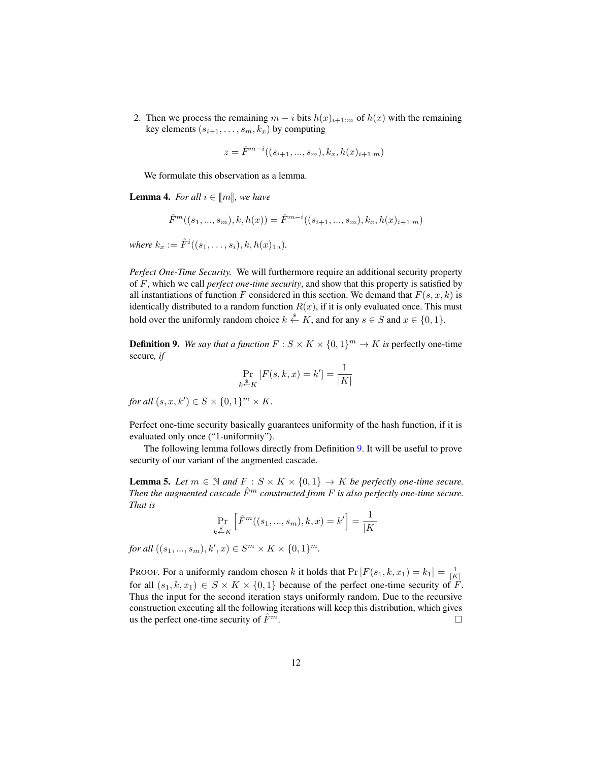2. Then we process the remaining  $m - i$  bits  $h(x)_{i+1:m}$  of  $h(x)$  with the remaining key elements  $(s_{i+1}, \ldots, s_m, k_x)$  by computing

<span id="page-11-1"></span>
$$
z = \hat{F}^{m-i}((s_{i+1}, ..., s_m), k_x, h(x)_{i+1:m})
$$

We formulate this observation as a lemma.

**Lemma 4.** *For all*  $i \in \llbracket m \rrbracket$ *, we have* 

$$
\hat{F}^m((s_1, ..., s_m), k, h(x)) = \hat{F}^{m-i}((s_{i+1}, ..., s_m), k_x, h(x)_{i+1:m})
$$

 $where k_x := \hat{F}^i((s_1, \ldots, s_i), k, h(x)_{1:i}).$ 

*Perfect One-Time Security.* We will furthermore require an additional security property of F, which we call *perfect one-time security*, and show that this property is satisfied by all instantiations of function F considered in this section. We demand that  $F(s, x, k)$  is identically distributed to a random function  $R(x)$ , if it is only evaluated once. This must hold over the uniformly random choice  $k \stackrel{s}{\leftarrow} K$ , and for any  $s \in S$  and  $x \in \{0, 1\}$ .

<span id="page-11-0"></span>**Definition 9.** We say that a function  $F : S \times K \times \{0,1\}^m \to K$  is perfectly one-time secure*, if*

<span id="page-11-2"></span>
$$
\Pr_{k \stackrel{\$}{\leftarrow} K} [F(s, k, x) = k'] = \frac{1}{|K|}
$$

*for all*  $(s, x, k') \in S \times \{0, 1\}^m \times K$ *.* 

Perfect one-time security basically guarantees uniformity of the hash function, if it is evaluated only once ("1-uniformity").

The following lemma follows directly from Definition [9.](#page-11-0) It will be useful to prove security of our variant of the augmented cascade.

**Lemma 5.** Let  $m \in \mathbb{N}$  and  $F : S \times K \times \{0,1\} \to K$  be perfectly one-time secure. *Then the augmented cascade*  $\hat{F}^m$  *constructed from* F *is also perfectly one-time secure. That is*

$$
\Pr_{k \stackrel{k}{\sim} K} \left[ \hat{F}^m((s_1, ..., s_m), k, x) = k' \right] = \frac{1}{|K|}
$$

*for all*  $((s_1, ..., s_m), k', x) \in S^m \times K \times \{0, 1\}^m$ .

PROOF. For a uniformly random chosen k it holds that  $Pr[F(s_1, k, x_1) = k_1] = \frac{1}{|K|}$ for all  $(s_1, k, x_1) \in S \times K \times \{0, 1\}$  because of the perfect one-time security of F. Thus the input for the second iteration stays uniformly random. Due to the recursive construction executing all the following iterations will keep this distribution, which gives us the perfect one-time security of  $\hat{F}^m$ .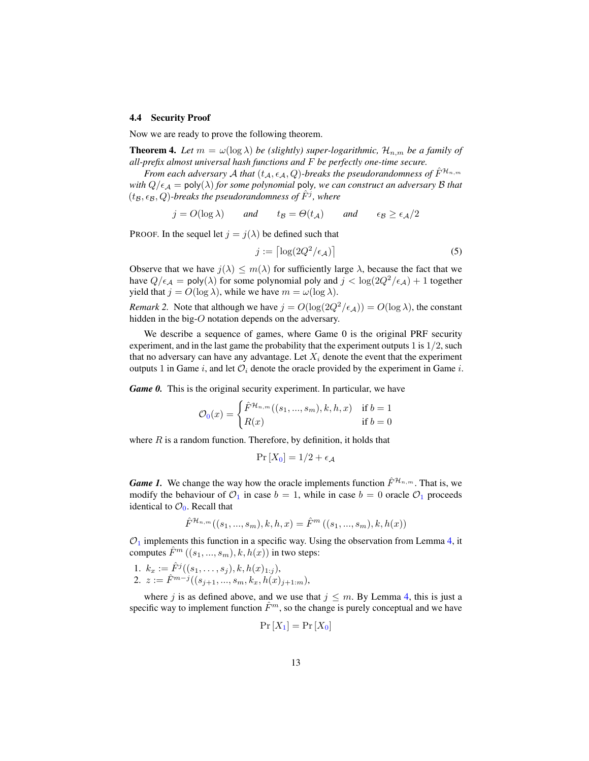#### 4.4 Security Proof

Now we are ready to prove the following theorem.

<span id="page-12-3"></span>**Theorem 4.** Let  $m = \omega(\log \lambda)$  be (slightly) super-logarithmic,  $\mathcal{H}_{n,m}$  be a family of *all-prefix almost universal hash functions and* F *be perfectly one-time secure.*

*From each adversary A that*  $(t_A, \epsilon_A, Q)$ *-breaks the pseudorandomness of*  $\hat{F}^{\mathcal{H}_{n,m}}$ *with*  $Q/\epsilon_A$  = poly( $\lambda$ ) *for some polynomial* poly*, we can construct an adversary* B *that*  $(t_{\mathcal{B}}, \epsilon_{\mathcal{B}}, Q)$ -breaks the pseudorandomness of  $\hat{F}^j$ , where

$$
j = O(\log \lambda)
$$
 and  $t_{\mathcal{B}} = \Theta(t_{\mathcal{A}})$  and  $\epsilon_{\mathcal{B}} \ge \epsilon_{\mathcal{A}}/2$ 

PROOF. In the sequel let  $j = j(\lambda)$  be defined such that

<span id="page-12-4"></span>
$$
j := \left\lceil \log(2Q^2/\epsilon_{\mathcal{A}}) \right\rceil \tag{5}
$$

Observe that we have  $j(\lambda) \leq m(\lambda)$  for sufficiently large  $\lambda$ , because the fact that we have  $Q/\epsilon_A$  = poly( $\lambda$ ) for some polynomial poly and  $j < \log(2Q^2/\epsilon_A) + 1$  together yield that  $j = O(\log \lambda)$ , while we have  $m = \omega(\log \lambda)$ .

*Remark 2.* Note that although we have  $j = O(\log(2Q^2/\epsilon_A)) = O(\log \lambda)$ , the constant hidden in the big-O notation depends on the adversary.

We describe a sequence of games, where Game 0 is the original PRF security experiment, and in the last game the probability that the experiment outputs  $1$  is  $1/2$ , such that no adversary can have any advantage. Let  $X_i$  denote the event that the experiment outputs 1 in Game i, and let  $\mathcal{O}_i$  denote the oracle provided by the experiment in Game i.

<span id="page-12-0"></span>*Game 0.* This is the original security experiment. In particular, we have

$$
\mathcal{O}_0(x) = \begin{cases} \hat{F}^{\mathcal{H}_{n,m}}((s_1, ..., s_m), k, h, x) & \text{if } b = 1\\ R(x) & \text{if } b = 0 \end{cases}
$$

where  $R$  is a random function. Therefore, by definition, it holds that

$$
\Pr\left[X_0\right] = 1/2 + \epsilon_{\mathcal{A}}
$$

<span id="page-12-1"></span>*Game 1.* We change the way how the oracle implements function  $\hat{F}^{\mathcal{H}_{n,m}}$ . That is, we modify the behaviour of  $\mathcal{O}_1$  $\mathcal{O}_1$  in case  $b = 1$ , while in case  $b = 0$  oracle  $\mathcal{O}_1$  proceeds identical to  $\mathcal{O}_0$  $\mathcal{O}_0$ . Recall that

$$
\hat{F}^{\mathcal{H}_{n,m}}((s_1,...,s_m),k,h,x) = \hat{F}^m((s_1,...,s_m),k,h(x))
$$

 $\mathcal{O}_1$  $\mathcal{O}_1$  implements this function in a specific way. Using the observation from Lemma [4,](#page-11-1) it computes  $\hat{F}^m((s_1,...,s_m), k, h(x))$  in two steps:

1. 
$$
k_x := \hat{F}^j((s_1, \ldots, s_j), k, h(x)_{1:j}),
$$
  
\n2.  $z := \hat{F}^{m-j}((s_{j+1}, \ldots, s_m, k_x, h(x)_{j+1:m}),$ 

<span id="page-12-2"></span>where j is as defined above, and we use that  $j \leq m$ . By Lemma [4,](#page-11-1) this is just a specific way to implement function  $\hat{F}^m$ , so the change is purely conceptual and we have

$$
\Pr\left[X_1\right] = \Pr\left[X_0\right]
$$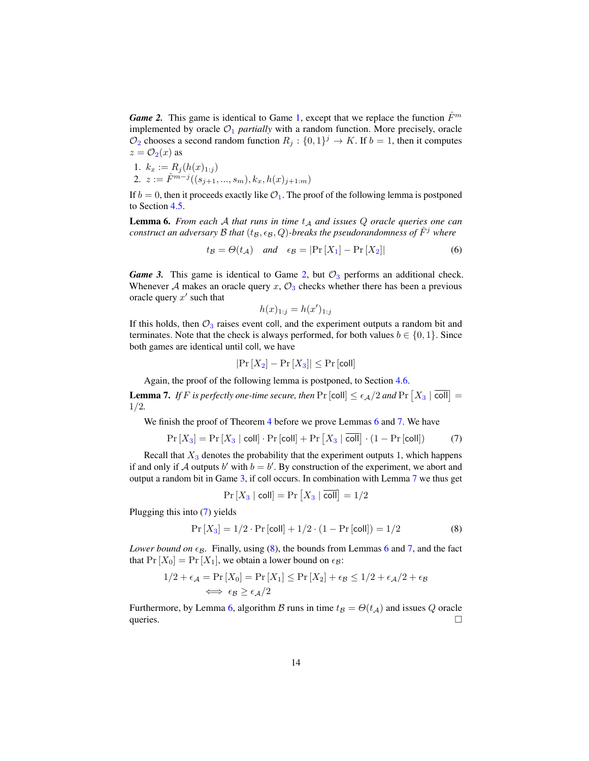*Game 2.* This game is identical to Game [1,](#page-12-1) except that we replace the function  $\hat{F}^m$ implemented by oracle  $O_1$  $O_1$  *partially* with a random function. More precisely, oracle  $\mathcal{O}_2$  $\mathcal{O}_2$  chooses a second random function  $R_j: \{0,1\}^j \to K$ . If  $b = 1$ , then it computes  $z = \mathcal{O}_2(x)$  $z = \mathcal{O}_2(x)$  $z = \mathcal{O}_2(x)$  as

1.  $k_x := R_j(h(x)_{1:j})$ 2.  $z := \hat{F}^{m-j}((s_{j+1},...,s_m), k_x, h(x)_{j+1:m})$ 

If  $b = 0$ , then it proceeds exactly like  $\mathcal{O}_1$  $\mathcal{O}_1$ . The proof of the following lemma is postponed to Section [4.5.](#page-14-0)

**Lemma 6.** *From each*  $A$  *that runs in time*  $t_A$  *and issues*  $Q$  *oracle queries one can construct an adversary* B *that*  $(t_{\mathcal{B}}, \epsilon_{\mathcal{B}}, Q)$ *-breaks the pseudorandomness of*  $\hat{F}^j$  *where* 

<span id="page-13-1"></span>
$$
t_{\mathcal{B}} = \Theta(t_{\mathcal{A}}) \quad \text{and} \quad \epsilon_{\mathcal{B}} = |\Pr[X_1] - \Pr[X_2]| \tag{6}
$$

<span id="page-13-0"></span>*Game [3](#page-13-0).* This game is identical to Game [2,](#page-12-2) but  $\mathcal{O}_3$  performs an additional check. Whenever A makes an oracle query x,  $\mathcal{O}_3$  $\mathcal{O}_3$  checks whether there has been a previous oracle query  $x'$  such that

<span id="page-13-2"></span>
$$
h(x)_{1:j} = h(x')_{1:j}
$$

If this holds, then  $\mathcal{O}_3$  $\mathcal{O}_3$  raises event coll, and the experiment outputs a random bit and terminates. Note that the check is always performed, for both values  $b \in \{0, 1\}$ . Since both games are identical until coll, we have

<span id="page-13-3"></span>
$$
|\Pr[X_2] - \Pr[X_3]| \le \Pr[\text{coll}]
$$

Again, the proof of the following lemma is postponed, to Section [4.6.](#page-14-1)

**Lemma 7.** If F is perfectly one-time secure, then  $Pr$  [coll]  $\leq \epsilon_A/2$  and  $Pr[X_3 \mid \overline{coll}] =$  $Pr[X_3 \mid \overline{coll}] =$  $Pr[X_3 \mid \overline{coll}] =$ 1/2*.*

We finish the proof of Theorem [4](#page-12-3) before we prove Lemmas [6](#page-13-1) and [7.](#page-13-2) We have

$$
\Pr[X_3] = \Pr[X_3 | \text{coll}] \cdot \Pr[\text{coll}] + \Pr[X_3 | \overline{\text{coll}}] \cdot (1 - \Pr[\text{coll}]) \tag{7}
$$

Recall that  $X_3$  $X_3$  denotes the probability that the experiment outputs 1, which happens if and only if A outputs b' with  $b = b'$ . By construction of the experiment, we abort and output a random bit in Game [3,](#page-13-0) if coll occurs. In combination with Lemma [7](#page-13-2) we thus get

<span id="page-13-4"></span>
$$
\Pr\left[X_3 \mid \text{coll}\right] = \Pr\left[X_3 \mid \overline{\text{coll}}\right] = 1/2
$$

Plugging this into [\(7\)](#page-13-3) yields

$$
\Pr\left[X_3\right] = 1/2 \cdot \Pr\left[\text{coll}\right] + 1/2 \cdot (1 - \Pr\left[\text{coll}\right]) = 1/2 \tag{8}
$$

*Lower bound on*  $\epsilon_B$ . Finally, using [\(8\)](#page-13-4), the bounds from Lemmas [6](#page-13-1) and [7,](#page-13-2) and the fact that  $Pr[X_0] = Pr[X_1]$ , we obtain a lower bound on  $\epsilon_B$ :

$$
1/2 + \epsilon_{\mathcal{A}} = \Pr\left[X_0\right] = \Pr\left[X_1\right] \le \Pr\left[X_2\right] + \epsilon_{\mathcal{B}} \le 1/2 + \epsilon_{\mathcal{A}}/2 + \epsilon_{\mathcal{B}}
$$

$$
\iff \epsilon_{\mathcal{B}} \ge \epsilon_{\mathcal{A}}/2
$$

Furthermore, by Lemma [6,](#page-13-1) algorithm B runs in time  $t_B = \Theta(t_A)$  and issues Q oracle queries.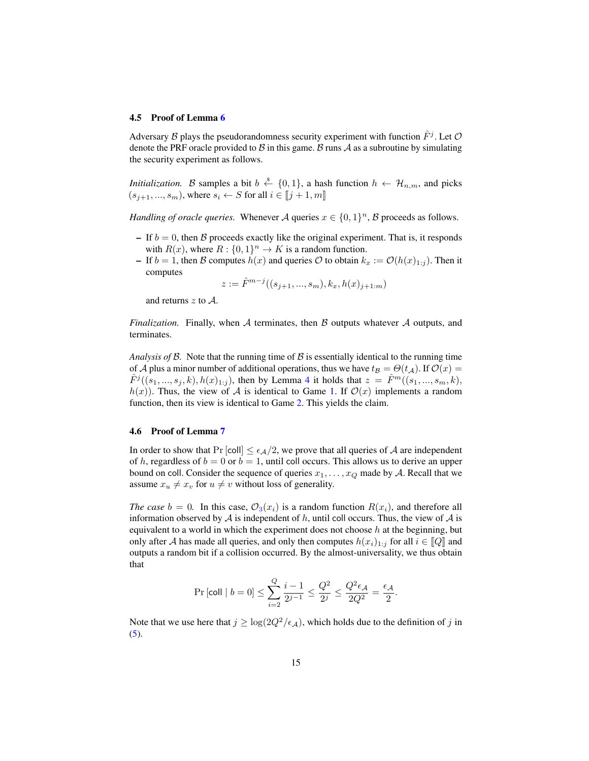#### <span id="page-14-0"></span>4.5 Proof of Lemma [6](#page-13-1)

Adversary  $B$  plays the pseudorandomness security experiment with function  $\hat{F}^j$ . Let  $\mathcal O$ denote the PRF oracle provided to  $\beta$  in this game.  $\beta$  runs  $\mathcal A$  as a subroutine by simulating the security experiment as follows.

*Initialization.* B samples a bit  $b \stackrel{\$}{\leftarrow} \{0,1\}$ , a hash function  $h \leftarrow \mathcal{H}_{n,m}$ , and picks  $(s_{j+1}, ..., s_m)$ , where  $s_i \leftarrow S$  for all  $i \in [j+1, m]$ 

*Handling of oracle queries.* Whenever A queries  $x \in \{0,1\}^n$ , B proceeds as follows.

- If  $b = 0$ , then B proceeds exactly like the original experiment. That is, it responds with  $R(x)$ , where  $R: \{0, 1\}^n \to K$  is a random function.
- If  $b = 1$ , then B computes  $h(x)$  and queries O to obtain  $k_x := \mathcal{O}(h(x)_{1:j})$ . Then it computes  $\hat{r}$  $m=i$

$$
z := F^{m-j}((s_{j+1},...,s_m), k_x, h(x)_{j+1:m})
$$

and returns z to A.

*Finalization.* Finally, when  $\mathcal A$  terminates, then  $\mathcal B$  outputs whatever  $\mathcal A$  outputs, and terminates.

*Analysis of B.* Note that the running time of B is essentially identical to the running time of A plus a minor number of additional operations, thus we have  $t_{\mathcal{B}} = \Theta(t_{\mathcal{A}})$ . If  $\mathcal{O}(x) =$  $\hat{F}^{j}((s_1, ..., s_j, k), h(x)_{1:j})$ , then by Lemma [4](#page-11-1) it holds that  $z = \hat{F}^{m}((s_1, ..., s_m, k),$  $h(x)$ ). Thus, the view of A is identical to Game [1.](#page-12-1) If  $\mathcal{O}(x)$  implements a random function, then its view is identical to Game [2.](#page-12-2) This yields the claim.

#### <span id="page-14-1"></span>4.6 Proof of Lemma [7](#page-13-2)

In order to show that  $Pr [coll] \leq \epsilon_A/2$ , we prove that all queries of A are independent of h, regardless of  $b = 0$  or  $b = 1$ , until coll occurs. This allows us to derive an upper bound on coll. Consider the sequence of queries  $x_1, \ldots, x_Q$  made by A. Recall that we assume  $x_u \neq x_v$  for  $u \neq v$  without loss of generality.

*The case*  $b = 0$ . In this case,  $\mathcal{O}_3(x_i)$  $\mathcal{O}_3(x_i)$  $\mathcal{O}_3(x_i)$  is a random function  $R(x_i)$ , and therefore all information observed by  $A$  is independent of h, until coll occurs. Thus, the view of  $A$  is equivalent to a world in which the experiment does not choose  $h$  at the beginning, but only after A has made all queries, and only then computes  $h(x_i)_{1:i}$  for all  $i \in \mathbb{Q}$  and outputs a random bit if a collision occurred. By the almost-universality, we thus obtain that

$$
\Pr\left[\text{coll} \mid b=0\right] \leq \sum_{i=2}^Q \frac{i-1}{2^{j-1}} \leq \frac{Q^2}{2^j} \leq \frac{Q^2 \epsilon_{\mathcal{A}}}{2Q^2} = \frac{\epsilon_{\mathcal{A}}}{2}.
$$

Note that we use here that  $j \geq \log(2Q^2/\epsilon_{\mathcal{A}})$ , which holds due to the definition of j in [\(5\)](#page-12-4).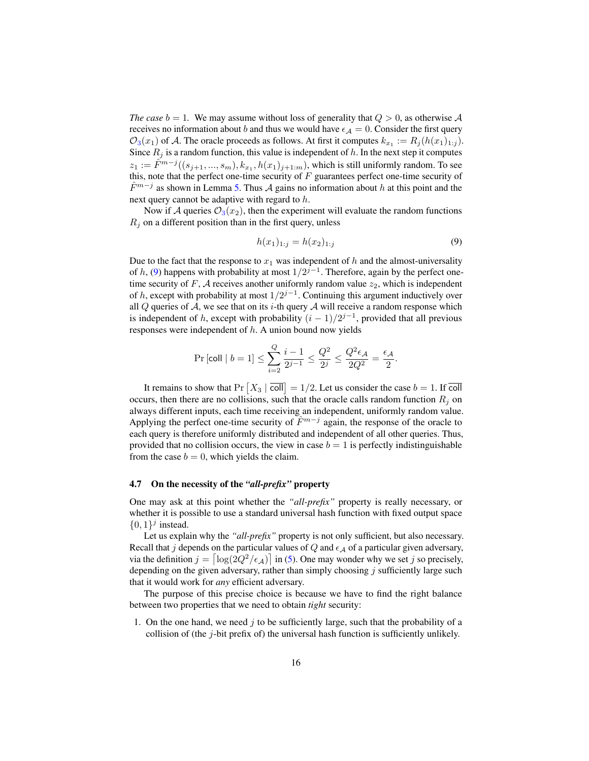*The case*  $b = 1$ . We may assume without loss of generality that  $Q > 0$ , as otherwise A receives no information about b and thus we would have  $\epsilon_{A} = 0$ . Consider the first query  $\mathcal{O}_3(x_1)$  $\mathcal{O}_3(x_1)$  $\mathcal{O}_3(x_1)$  of A. The oracle proceeds as follows. At first it computes  $k_{x_1} := R_j(h(x_1)_{1:j}).$ Since  $R_j$  is a random function, this value is independent of h. In the next step it computes  $z_1 := \hat{F}^{m-j}((s_{j+1},...,s_m), k_{x_1}, h(x_1)_{j+1:m})$ , which is still uniformly random. To see this, note that the perfect one-time security of  $F$  guarantees perfect one-time security of  $\hat{F}^{m-j}$  as shown in Lemma [5.](#page-11-2) Thus A gains no information about h at this point and the next query cannot be adaptive with regard to h.

Now if A queries  $\mathcal{O}_3(x_2)$  $\mathcal{O}_3(x_2)$  $\mathcal{O}_3(x_2)$ , then the experiment will evaluate the random functions  $R_i$  on a different position than in the first query, unless

<span id="page-15-1"></span>
$$
h(x_1)_{1:j} = h(x_2)_{1:j} \tag{9}
$$

Due to the fact that the response to  $x_1$  was independent of h and the almost-universality of h, [\(9\)](#page-15-1) happens with probability at most  $1/2^{j-1}$ . Therefore, again by the perfect onetime security of F, A receives another uniformly random value  $z_2$ , which is independent of h, except with probability at most  $1/2^{j-1}$ . Continuing this argument inductively over all  $Q$  queries of  $A$ , we see that on its *i*-th query  $A$  will receive a random response which is independent of h, except with probability  $(i - 1)/2^{j-1}$ , provided that all previous responses were independent of  $h$ . A union bound now yields

$$
\Pr\left[\text{coll} \mid b=1\right] \leq \sum_{i=2}^Q \frac{i-1}{2^{j-1}} \leq \frac{Q^2}{2^j} \leq \frac{Q^2 \epsilon_{\mathcal{A}}}{2Q^2} = \frac{\epsilon_{\mathcal{A}}}{2}.
$$

It remains to show that  $Pr[X_3 \mid \overline{coll}] = 1/2$ . Let us consider the case  $b = 1$ . If coll occurs, then there are no collisions, such that the oracle calls random function  $R_i$  on always different inputs, each time receiving an independent, uniformly random value. Applying the perfect one-time security of  $\hat{F}^{m-j}$  again, the response of the oracle to each query is therefore uniformly distributed and independent of all other queries. Thus, provided that no collision occurs, the view in case  $b = 1$  is perfectly indistinguishable from the case  $b = 0$ , which yields the claim.

#### <span id="page-15-0"></span>4.7 On the necessity of the *"all-prefix"* property

One may ask at this point whether the *"all-prefix"* property is really necessary, or whether it is possible to use a standard universal hash function with fixed output space  $\{0,1\}^j$  instead.

Let us explain why the "*all-prefix*" property is not only sufficient, but also necessary. Recall that j depends on the particular values of Q and  $\epsilon_A$  of a particular given adversary, via the definition  $j = \left\lceil \log(2Q^2/\epsilon_A) \right\rceil$  in [\(5\)](#page-12-4). One may wonder why we set j so precisely, depending on the given adversary, rather than simply choosing  $j$  sufficiently large such that it would work for *any* efficient adversary.

The purpose of this precise choice is because we have to find the right balance between two properties that we need to obtain *tight* security:

1. On the one hand, we need  $j$  to be sufficiently large, such that the probability of a collision of (the  $j$ -bit prefix of) the universal hash function is sufficiently unlikely.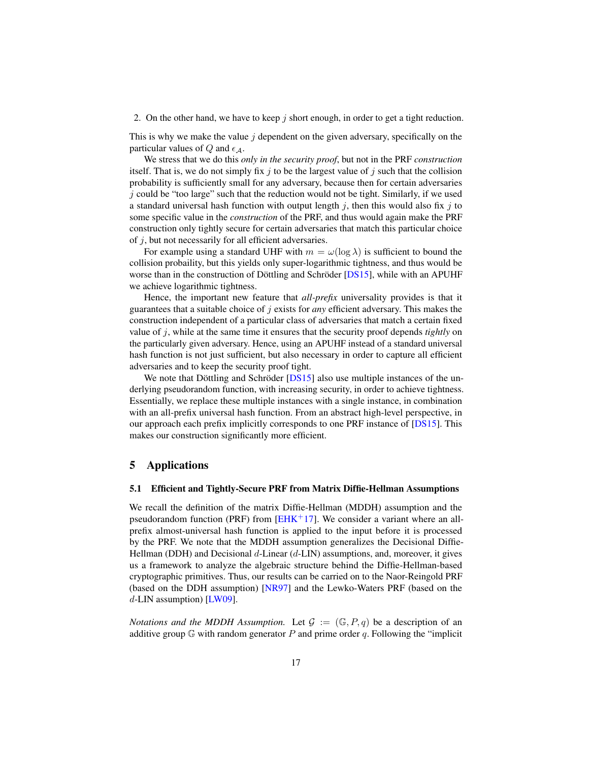2. On the other hand, we have to keep  $j$  short enough, in order to get a tight reduction.

This is why we make the value  $j$  dependent on the given adversary, specifically on the particular values of Q and  $\epsilon_A$ .

We stress that we do this *only in the security proof*, but not in the PRF *construction* itself. That is, we do not simply fix  $\dot{\gamma}$  to be the largest value of  $\dot{\gamma}$  such that the collision probability is sufficiently small for any adversary, because then for certain adversaries  $j$  could be "too large" such that the reduction would not be tight. Similarly, if we used a standard universal hash function with output length j, then this would also fix j to some specific value in the *construction* of the PRF, and thus would again make the PRF construction only tightly secure for certain adversaries that match this particular choice of  $j$ , but not necessarily for all efficient adversaries.

For example using a standard UHF with  $m = \omega(\log \lambda)$  is sufficient to bound the collision probaility, but this yields only super-logarithmic tightness, and thus would be worse than in the construction of Döttling and Schröder [[DS15\]](#page-25-10), while with an APUHF we achieve logarithmic tightness.

Hence, the important new feature that *all-prefix* universality provides is that it guarantees that a suitable choice of j exists for *any* efficient adversary. This makes the construction independent of a particular class of adversaries that match a certain fixed value of  $j$ , while at the same time it ensures that the security proof depends *tightly* on the particularly given adversary. Hence, using an APUHF instead of a standard universal hash function is not just sufficient, but also necessary in order to capture all efficient adversaries and to keep the security proof tight.

We note that Döttling and Schröder  $[DS15]$  $[DS15]$  also use multiple instances of the underlying pseudorandom function, with increasing security, in order to achieve tightness. Essentially, we replace these multiple instances with a single instance, in combination with an all-prefix universal hash function. From an abstract high-level perspective, in our approach each prefix implicitly corresponds to one PRF instance of [\[DS15\]](#page-25-10). This makes our construction significantly more efficient.

### 5 Applications

## 5.1 Efficient and Tightly-Secure PRF from Matrix Diffie-Hellman Assumptions

We recall the definition of the matrix Diffie-Hellman (MDDH) assumption and the pseudorandom function (PRF) from  $[EHK^+17]$  $[EHK^+17]$ . We consider a variant where an allprefix almost-universal hash function is applied to the input before it is processed by the PRF. We note that the MDDH assumption generalizes the Decisional Diffie-Hellman (DDH) and Decisional d-Linear (d-LIN) assumptions, and, moreover, it gives us a framework to analyze the algebraic structure behind the Diffie-Hellman-based cryptographic primitives. Thus, our results can be carried on to the Naor-Reingold PRF (based on the DDH assumption) [\[NR97\]](#page-26-3) and the Lewko-Waters PRF (based on the  $d$ -LIN assumption) [\[LW09\]](#page-26-4).

*Notations and the MDDH Assumption.* Let  $\mathcal{G} := (\mathbb{G}, P, q)$  be a description of an additive group  $G$  with random generator  $P$  and prime order  $q$ . Following the "implicit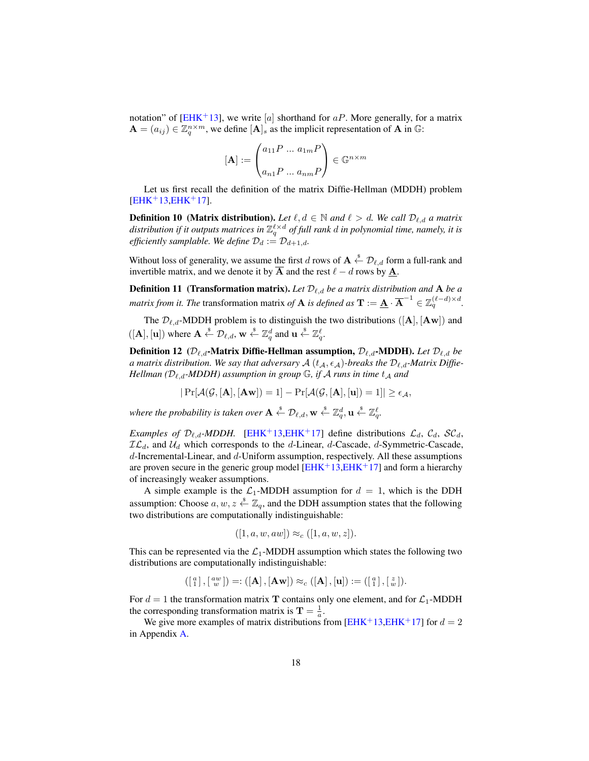notation" of [\[EHK](#page-25-13)+13], we write [a] shorthand for  $aP$ . More generally, for a matrix  $\mathbf{A} = (a_{ij}) \in \mathbb{Z}_q^{n \times m}$ , we define  $[\mathbf{A}]_s$  as the implicit representation of **A** in  $\mathbb{G}$ :

$$
[\mathbf{A}] := \begin{pmatrix} a_{11}P & \dots & a_{1m}P \\ \vdots & \vdots & \vdots \\ a_{n1}P & \dots & a_{nm}P \end{pmatrix} \in \mathbb{G}^{n \times m}
$$

Let us first recall the definition of the matrix Diffie-Hellman (MDDH) problem  $[EHK+13, EHK+17]$  $[EHK+13, EHK+17]$ .

**Definition 10** (Matrix distribution). Let  $\ell, d \in \mathbb{N}$  and  $\ell > d$ . We call  $\mathcal{D}_{\ell,d}$  a matrix distribution if it outputs matrices in  $\mathbb{Z}_q^{\ell \times d}$  of full rank  $d$  in polynomial time, namely, it is *efficiently samplable. We define*  $\mathcal{D}_d := \mathcal{D}_{d+1,d}$ .

Without loss of generality, we assume the first d rows of  $A \overset{\hspace{0.1em}\mathsf{\scriptscriptstyle\$}}{\leftarrow} \mathcal{D}_{\ell,d}$  form a full-rank and invertible matrix, and we denote it by  $\overline{A}$  and the rest  $\ell - d$  rows by  $\underline{A}$ .

**Definition 11** (Transformation matrix). Let  $\mathcal{D}_{\ell,d}$  be a matrix distribution and A be a *matrix from it. The transformation matrix of*  $\bf A$  *is defined as*  $\bf T := \underline{\bf A} \cdot \overline{\bf A}^{-1} \in \mathbb{Z}_q^{(\ell-d) \times d}$ .

The  $\mathcal{D}_{\ell,d}$ -MDDH problem is to distinguish the two distributions ([A], [Aw]) and  $([{\bf A}], [{\bf u}])$  where  ${\bf A} \stackrel{\$}{{\leftarrow}} {\mathcal{D}}_{\ell,d}, {\bf w} \stackrel{\$}{{\leftarrow}} {\mathbb{Z}}_q^d$  and  ${\bf u} \stackrel{\$}{{\leftarrow}} {\mathbb{Z}}_q^{\ell}$ .

**Definition 12** ( $D_{\ell,d}$ -Matrix Diffie-Hellman assumption,  $D_{\ell,d}$ -MDDH). Let  $D_{\ell,d}$  be *a matrix distribution. We say that adversary*  $A(t_A, \epsilon_A)$ -breaks the  $\mathcal{D}_{\ell,d}$ -Matrix Diffie-*Hellman* ( $D_{\ell,d}$ -*MDDH)* assumption in group  $\mathbb{G}$ , if  $A$  *runs in time*  $t_A$  *and* 

 $|\Pr[\mathcal{A}(\mathcal{G}, [\mathbf{A}], [\mathbf{A}\mathbf{w}]) = 1] - \Pr[\mathcal{A}(\mathcal{G}, [\mathbf{A}], [\mathbf{u}]) = 1]| \ge \epsilon_{\mathcal{A}},$ 

where the probability is taken over  $\mathbf{A}\overset{\hspace{0.1em}s}{\leftarrow}\mathcal{D}_{\ell,d}, \mathbf{w}\overset{\hspace{0.1em}s}{\leftarrow}\mathbb{Z}^d_q, \mathbf{u}\overset{\hspace{0.1em}s}{\leftarrow}\mathbb{Z}^\ell_q.$ 

*Examples of*  $\mathcal{D}_{\ell,d}$ *-MDDH.* [\[EHK](#page-25-13)<sup>+</sup>13[,EHK](#page-25-5)<sup>+</sup>17] define distributions  $\mathcal{L}_d$ ,  $\mathcal{C}_d$ ,  $\mathcal{SC}_d$ ,  $\mathcal{IL}_d$ , and  $\mathcal{U}_d$  which corresponds to the d-Linear, d-Cascade, d-Symmetric-Cascade,  $d$ -Incremental-Linear, and  $d$ -Uniform assumption, respectively. All these assumptions are proven secure in the generic group model  $[EHK^+13,EHK^+17]$  $[EHK^+13,EHK^+17]$  $[EHK^+13,EHK^+17]$  $[EHK^+13,EHK^+17]$  and form a hierarchy of increasingly weaker assumptions.

A simple example is the  $\mathcal{L}_1$ -MDDH assumption for  $d = 1$ , which is the DDH assumption: Choose  $a, w, z \stackrel{\text{s}}{\leftarrow} \mathbb{Z}_q$ , and the DDH assumption states that the following two distributions are computationally indistinguishable:

$$
([1, a, w, aw]) \approx_c ([1, a, w, z]).
$$

This can be represented via the  $\mathcal{L}_1$ -MDDH assumption which states the following two distributions are computationally indistinguishable:

$$
\left(\left[\begin{smallmatrix}a\\1\end{smallmatrix}\right],\left[\begin{smallmatrix}aw\\w\end{smallmatrix}\right]\right)=: \left(\left[\mathbf{A}\right],\left[\mathbf{A}\mathbf{w}\right]\right)\approx_c \left(\left[\mathbf{A}\right],\left[\mathbf{u}\right]\right):=\left(\left[\begin{smallmatrix}a\\1\end{smallmatrix}\right],\left[\begin{smallmatrix}z\\w\end{smallmatrix}\right]\right).
$$

For  $d = 1$  the transformation matrix **T** contains only one element, and for  $\mathcal{L}_1$ -MDDH the corresponding transformation matrix is  $\mathbf{T} = \frac{1}{a}$ .

We give more examples of matrix distributions from  $[EHK^+13,EHK^+17]$  $[EHK^+13,EHK^+17]$  $[EHK^+13,EHK^+17]$  $[EHK^+13,EHK^+17]$  for  $d=2$ in Appendix [A.](#page-26-9)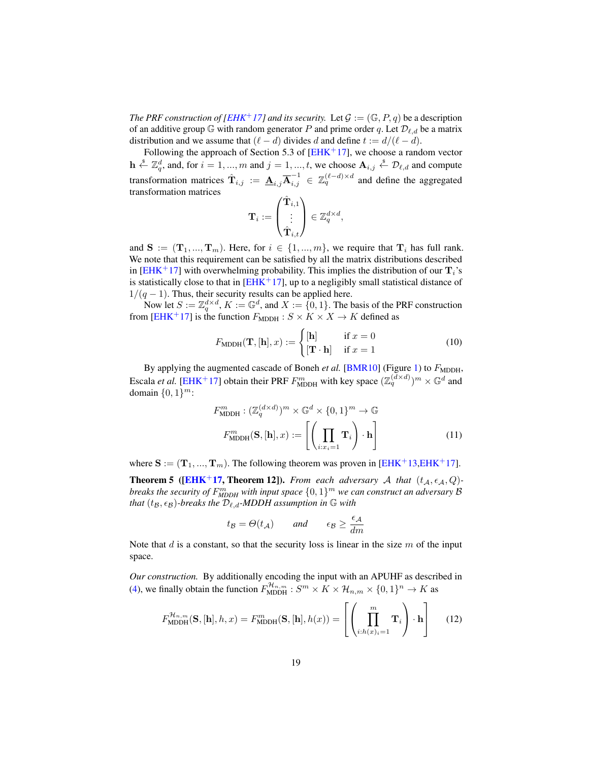*The PRF construction of [\[EHK](#page-25-5)<sup>+</sup>17] and its security.* Let  $G := (\mathbb{G}, P, q)$  be a description of an additive group G with random generator P and prime order q. Let  $\mathcal{D}_{\ell,d}$  be a matrix distribution and we assume that  $(\ell - d)$  divides d and define  $t := d/(\ell - d)$ .

Following the approach of Section 5.3 of  $[EHK^+17]$  $[EHK^+17]$ , we choose a random vector  $\mathbf{h} \overset{\hspace{0.1em}\mathsf{\scriptscriptstyle\$}}{\leftarrow} \mathbb{Z}_q^d$ , and, for  $i = 1, ..., m$  and  $j = 1, ..., t$ , we choose  $\mathbf{A}_{i,j} \overset{\hspace{0.1em}\mathsf{\scriptscriptstyle\$}}{\leftarrow} \mathcal{D}_{\ell,d}$  and compute transformation matrices  $\hat{\mathbf{T}}_{i,j} := \underline{\mathbf{A}}_{i,j} \overline{\mathbf{A}}_{i,j}^{-1} \in \mathbb{Z}_q^{(\ell-d) \times d}$  and define the aggregated transformation matrices

$$
\mathbf{T}_i := \begin{pmatrix} \hat{\mathbf{T}}_{i,1} \\ \vdots \\ \hat{\mathbf{T}}_{i,t} \end{pmatrix} \in \mathbb{Z}_q^{d \times d},
$$

and  $S := (T_1, ..., T_m)$ . Here, for  $i \in \{1, ..., m\}$ , we require that  $T_i$  has full rank. We note that this requirement can be satisfied by all the matrix distributions described in [\[EHK](#page-25-5)<sup>+</sup>17] with overwhelming probability. This implies the distribution of our  $T_i$ 's is statistically close to that in  $[EHK^+17]$  $[EHK^+17]$ , up to a negligibly small statistical distance of  $1/(q-1)$ . Thus, their security results can be applied here.

Now let  $S := \mathbb{Z}_q^{d \times d}$ ,  $K := \mathbb{G}^d$ , and  $X := \{0, 1\}$ . The basis of the PRF construction from [\[EHK](#page-25-5)<sup>+</sup>17] is the function  $F_{\text{MDDH}}$  :  $S \times K \times X \rightarrow K$  defined as

<span id="page-18-0"></span>
$$
F_{\text{MDDH}}(\mathbf{T}, [\mathbf{h}], x) := \begin{cases} [\mathbf{h}] & \text{if } x = 0\\ [\mathbf{T} \cdot \mathbf{h}] & \text{if } x = 1 \end{cases}
$$
(10)

By applying the augmented cascade of Boneh *et al.* [\[BMR10\]](#page-25-7) (Figure [1\)](#page-9-0) to  $F_{\text{MDDH}}$ , Escala *et al.* [\[EHK](#page-25-5)<sup>+</sup>17] obtain their PRF  $F_{\text{MDDH}}^m$  with key space  $(\mathbb{Z}_q^{(d \times d)})^m \times \mathbb{G}^d$  and domain  $\{0, 1\}^m$ :

$$
F_{\text{MDDH}}^{m} : (\mathbb{Z}_q^{(d \times d)})^m \times \mathbb{G}^d \times \{0, 1\}^m \to \mathbb{G}
$$

$$
F_{\text{MDDH}}^{m}(\mathbf{S}, [\mathbf{h}], x) := \left[ \left( \prod_{i: x_i = 1} \mathbf{T}_i \right) \cdot \mathbf{h} \right] \tag{11}
$$

where  $S := (T_1, ..., T_m)$ . The following theorem was proven in [\[EHK](#page-25-13)<sup>+</sup>13[,EHK](#page-25-5)<sup>+</sup>17].

<span id="page-18-1"></span>**Theorem 5** ([\[EHK](#page-25-5)<sup>+</sup>17, Theorem 12]). *From each adversary* A *that*  $(t_A, \epsilon_A, Q)$ breaks the security of  $F_{\textit{MDDH}}^m$  with input space  $\{0,1\}^m$  we can construct an adversary  ${\cal B}$ *that*  $(t_\mathcal{B}, \epsilon_\mathcal{B})$ *-breaks the*  $\mathcal{D}_{\ell,d}$ *-MDDH assumption in*  $\mathbb{G}$  *with* 

<span id="page-18-2"></span>
$$
t_{\mathcal{B}} = \Theta(t_{\mathcal{A}})
$$
 and  $\epsilon_{\mathcal{B}} \ge \frac{\epsilon_{\mathcal{A}}}{dm}$ 

Note that  $d$  is a constant, so that the security loss is linear in the size  $m$  of the input space.

*Our construction.* By additionally encoding the input with an APUHF as described in [\(4\)](#page-10-0), we finally obtain the function  $F_{\text{MDDH}}^{\mathcal{H}_{n,m}} : S^m \times K \times \mathcal{H}_{n,m} \times \{0,1\}^n \to K$  as

$$
F_{\text{MDDH}}^{\mathcal{H}_{n,m}}(\mathbf{S}, [\mathbf{h}], h, x) = F_{\text{MDDH}}^m(\mathbf{S}, [\mathbf{h}], h(x)) = \left[ \left( \prod_{i:h(x)_i=1}^m \mathbf{T}_i \right) \cdot \mathbf{h} \right] \tag{12}
$$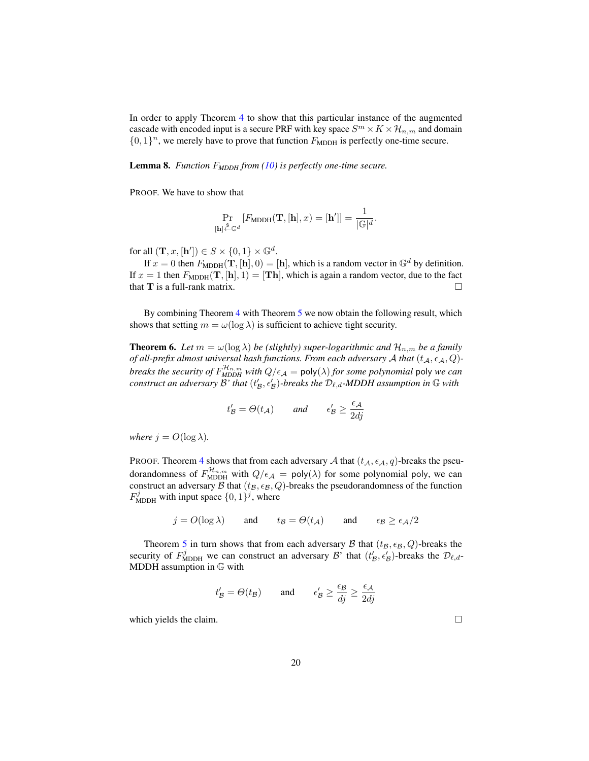In order to apply Theorem [4](#page-12-3) to show that this particular instance of the augmented cascade with encoded input is a secure PRF with key space  $S^m \times K \times \mathcal{H}_{n,m}$  and domain  $\{0,1\}^n$ , we merely have to prove that function  $F_{\text{MDDH}}$  is perfectly one-time secure.

Lemma 8. *Function* F*MDDH from [\(10\)](#page-18-0) is perfectly one-time secure.*

PROOF. We have to show that

$$
\Pr_{\left[\mathbf{h}\right]^{*}\leftarrow\mathbb{G}^{d}}\left[F_{\text{MDDH}}(\mathbf{T},\left[\mathbf{h}\right],x\right)=\left[\mathbf{h}^{\prime}\right]\right]=\frac{1}{\left|\mathbb{G}\right|^{d}}.
$$

for all  $(\mathbf{T}, x, [\mathbf{h}']) \in S \times \{0, 1\} \times \mathbb{G}^d$ .

If  $x = 0$  then  $F_{\text{MDDH}}(\mathbf{T}, [\mathbf{h}], 0) = [\mathbf{h}]$ , which is a random vector in  $\mathbb{G}^d$  by definition. If  $x = 1$  then  $F_{MDDH}(T, [h], 1) = [Th]$ , which is again a random vector, due to the fact that **T** is a full-rank matrix.  $\Box$ 

By combining Theorem [4](#page-12-3) with Theorem [5](#page-18-1) we now obtain the following result, which shows that setting  $m = \omega(\log \lambda)$  is sufficient to achieve tight security.

**Theorem 6.** Let  $m = \omega(\log \lambda)$  be (slightly) super-logarithmic and  $\mathcal{H}_{n,m}$  be a family *of all-prefix almost universal hash functions. From each adversary* A *that*  $(t_A, \epsilon_A, Q)$ *breaks the security of*  $F_{MDDH}^{\mathcal{H}_{n,m}}$  *with*  $Q/\epsilon_{\mathcal{A}} = \text{poly}(\lambda)$  *for some polynomial* poly *we can construct an adversary*  $B'$  that  $(t'_B, \epsilon'_B)$ -breaks the  $\mathcal{D}_{\ell,d}$ -MDDH assumption in  $\mathbb G$  *with* 

$$
t'_B = \Theta(t_A)
$$
 and  $\epsilon'_B \ge \frac{\epsilon_A}{2dj}$ 

*where*  $j = O(\log \lambda)$ *.* 

PROOF. Theorem [4](#page-12-3) shows that from each adversary A that  $(t_A, \epsilon_A, q)$ -breaks the pseudorandomness of  $F_{\text{MDDH}}^{\mathcal{H}_{n,m}}$  with  $Q/\epsilon_{\mathcal{A}} = \text{poly}(\lambda)$  for some polynomial poly, we can construct an adversary B that  $(t_B, \epsilon_B, Q)$ -breaks the pseudorandomness of the function  $F_{\text{MDDH}}^j$  with input space  $\{0, 1\}^j$ , where

$$
j = O(\log \lambda)
$$
 and  $t_{\mathcal{B}} = \Theta(t_{\mathcal{A}})$  and  $\epsilon_{\mathcal{B}} \ge \epsilon_{\mathcal{A}}/2$ 

Theorem [5](#page-18-1) in turn shows that from each adversary B that  $(t_B, \epsilon_B, Q)$ -breaks the security of  $F_{\text{MDDH}}^j$  we can construct an adversary  $\mathcal{B}^i$  that  $(t'_B, \epsilon'_B)$ -breaks the  $\mathcal{D}_{\ell, d}$ -MDDH assumption in G with

$$
t'_{\mathcal{B}} = \Theta(t_{\mathcal{B}})
$$
 and  $\epsilon'_{\mathcal{B}} \ge \frac{\epsilon_{\mathcal{B}}}{d j} \ge \frac{\epsilon_{\mathcal{A}}}{2 d j}$ 

which yields the claim.  $\Box$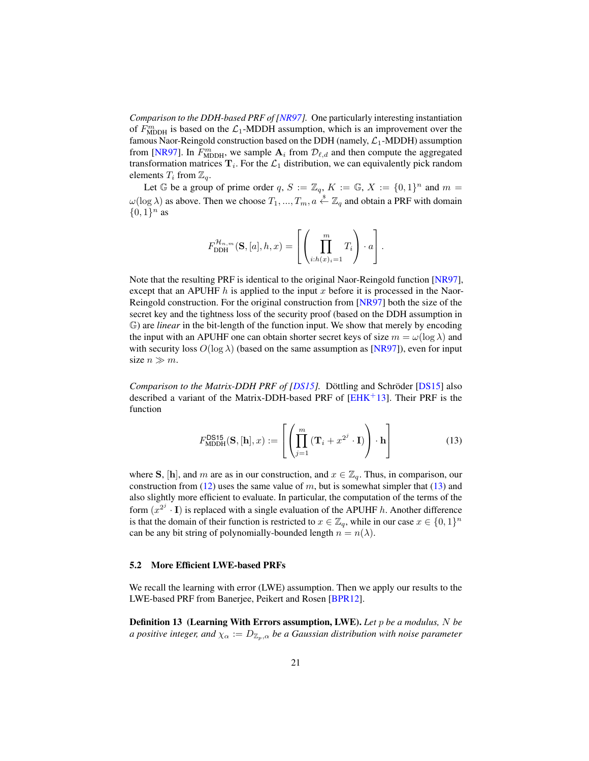*Comparison to the DDH-based PRF of [\[NR97\]](#page-26-3).* One particularly interesting instantiation of  $F_{\text{MDDH}}^m$  is based on the  $\mathcal{L}_1$ -MDDH assumption, which is an improvement over the famous Naor-Reingold construction based on the DDH (namely,  $\mathcal{L}_1$ -MDDH) assumption from [\[NR97\]](#page-26-3). In  $F_{\text{MDDH}}^m$ , we sample  $\mathbf{A}_i$  from  $\mathcal{D}_{\ell,d}$  and then compute the aggregated transformation matrices  $T_i$ . For the  $\mathcal{L}_1$  distribution, we can equivalently pick random elements  $T_i$  from  $\mathbb{Z}_q$ .

Let G be a group of prime order q,  $S := \mathbb{Z}_q$ ,  $K := \mathbb{G}$ ,  $X := \{0,1\}^n$  and  $m =$  $\omega(\log \lambda)$  as above. Then we choose  $T_1, ..., T_m, a \stackrel{\hspace{0.1em}s}{\leftarrow} \mathbb{Z}_q$  and obtain a PRF with domain  $\{0, 1\}^n$  as

$$
F_{\text{DDH}}^{\mathcal{H}_{n,m}}(\mathbf{S},[a],h,x) = \left[ \left( \prod_{i:h(x)_i=1}^m T_i \right) \cdot a \right].
$$

Note that the resulting PRF is identical to the original Naor-Reingold function [\[NR97\]](#page-26-3), except that an APUHF  $h$  is applied to the input  $x$  before it is processed in the Naor-Reingold construction. For the original construction from [\[NR97\]](#page-26-3) both the size of the secret key and the tightness loss of the security proof (based on the DDH assumption in G) are *linear* in the bit-length of the function input. We show that merely by encoding the input with an APUHF one can obtain shorter secret keys of size  $m = \omega(\log \lambda)$  and with security loss  $O(\log \lambda)$  (based on the same assumption as [\[NR97\]](#page-26-3)), even for input size  $n \gg m$ .

*Comparison to the Matrix-DDH PRF of [\[DS15\]](#page-25-10).* Döttling and Schröder [[DS15\]](#page-25-10) also described a variant of the Matrix-DDH-based PRF of [\[EHK](#page-25-13)<sup>+</sup>13]. Their PRF is the function

<span id="page-20-1"></span>
$$
F_{\text{MDDH}}^{\text{DS15}}(\mathbf{S}, [\mathbf{h}], x) := \left[ \left( \prod_{j=1}^{m} \left( \mathbf{T}_i + x^{2^j} \cdot \mathbf{I} \right) \right) \cdot \mathbf{h} \right]
$$
(13)

where S, [h], and m are as in our construction, and  $x \in \mathbb{Z}_q$ . Thus, in comparison, our construction from  $(12)$  uses the same value of m, but is somewhat simpler that  $(13)$  and also slightly more efficient to evaluate. In particular, the computation of the terms of the form  $(x^{2^j} \cdot I)$  is replaced with a single evaluation of the APUHF h. Another difference is that the domain of their function is restricted to  $x \in \mathbb{Z}_q$ , while in our case  $x \in \{0,1\}^n$ can be any bit string of polynomially-bounded length  $n = n(\lambda)$ .

#### <span id="page-20-0"></span>5.2 More Efficient LWE-based PRFs

We recall the learning with error (LWE) assumption. Then we apply our results to the LWE-based PRF from Banerjee, Peikert and Rosen [\[BPR12\]](#page-25-6).

Definition 13 (Learning With Errors assumption, LWE). *Let* p *be a modulus,* N *be a positive integer, and*  $\chi_{\alpha} := D_{\mathbb{Z}_p, \alpha}$  *be a Gaussian distribution with noise parameter*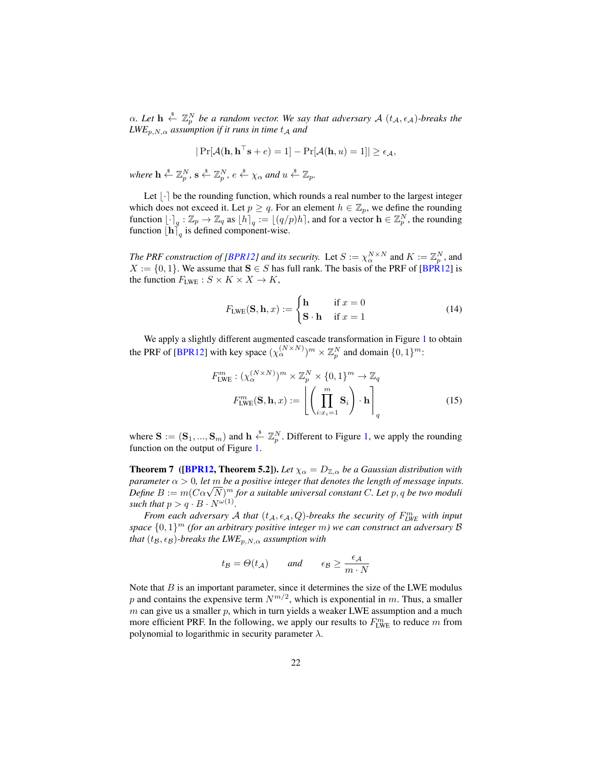$\alpha$ . Let  $h \stackrel{s}{\leftarrow} \mathbb{Z}_p^N$  be a random vector. We say that adversary  $\mathcal{A}$   $(t_{\mathcal{A}}, \epsilon_{\mathcal{A}})$ -breaks the  $LWE_{p,N,\alpha}$  *assumption if it runs in time*  $t_A$  *and* 

$$
|\Pr[\mathcal{A}(\mathbf{h}, \mathbf{h}^{\top}\mathbf{s} + e) = 1] - \Pr[\mathcal{A}(\mathbf{h}, u) = 1]| \ge \epsilon_{\mathcal{A}},
$$

where  $\mathbf{h} \stackrel{\$}{\leftarrow} \mathbb{Z}_p^N$ ,  $\mathbf{s} \stackrel{\$}{\leftarrow} \mathbb{Z}_p^N$ ,  $e \stackrel{\$}{\leftarrow} \chi_\alpha$  and  $u \stackrel{\$}{\leftarrow} \mathbb{Z}_p$ .

Let  $\lceil \cdot \rceil$  be the rounding function, which rounds a real number to the largest integer which does not exceed it. Let  $p \geq q$ . For an element  $h \in \mathbb{Z}_p$ , we define the rounding function  $\lfloor \cdot \rceil_q : \mathbb{Z}_p \to \mathbb{Z}_q$  as  $\lfloor h \rceil_q := \lfloor (q/p)h \rceil$ , and for a vector  $\mathbf{h} \in \mathbb{Z}_p^N$ , the rounding function  $\lfloor \mathbf{h} \rceil_q$  is defined component-wise.

*The PRF construction of [\[BPR12\]](#page-25-6) and its security.* Let  $S := \chi_{\alpha}^{N \times N}$  and  $K := \mathbb{Z}_p^N$ , and  $X := \{0, 1\}$ . We assume that  $S \in S$  has full rank. The basis of the PRF of [\[BPR12\]](#page-25-6) is the function  $F_{\text{LWE}}: S \times K \times X \to K$ ,

<span id="page-21-0"></span>
$$
F_{\text{LWE}}(\mathbf{S}, \mathbf{h}, x) := \begin{cases} \mathbf{h} & \text{if } x = 0\\ \mathbf{S} \cdot \mathbf{h} & \text{if } x = 1 \end{cases} \tag{14}
$$

We apply a slightly different augmented cascade transformation in Figure [1](#page-9-0) to obtain the PRF of [\[BPR12\]](#page-25-6) with key space  $(\chi_\alpha^{(N \times N)})^m \times \mathbb{Z}_p^N$  and domain  $\{0,1\}^m$ :

$$
F_{\text{LWE}}^{m} : (\chi_{\alpha}^{(N \times N)})^{m} \times \mathbb{Z}_{p}^{N} \times \{0, 1\}^{m} \to \mathbb{Z}_{q}
$$

$$
F_{\text{LWE}}^{m}(\mathbf{S}, \mathbf{h}, x) := \left[ \left( \prod_{i: x_{i} = 1}^{m} \mathbf{S}_{i} \right) \cdot \mathbf{h} \right]_{q}
$$
(15)

where  $\mathbf{S} := (\mathbf{S}_1, ..., \mathbf{S}_m)$  $\mathbf{S} := (\mathbf{S}_1, ..., \mathbf{S}_m)$  $\mathbf{S} := (\mathbf{S}_1, ..., \mathbf{S}_m)$  and  $\mathbf{h} \stackrel{\$}{\leftarrow} \mathbb{Z}_p^N$ . Different to Figure 1, we apply the rounding function on the output of Figure [1.](#page-9-0)

<span id="page-21-1"></span>**Theorem 7** ([\[BPR12,](#page-25-6) Theorem 5.2]). Let  $\chi_{\alpha} = D_{\mathbb{Z},\alpha}$  be a Gaussian distribution with *parameter*  $\alpha > 0$ , *let m be a positive integer that denotes the length of message inputs.* parameter α > ∪, tet m be a positive integer that aenotes the tength of message inputs.<br>Define B := m(Cα√N)<sup>m</sup> for a suitable universal constant C. Let p, q be two moduli such that  $p > q \cdot B \cdot N^{\omega(1)}$ .

*From each adversary A that*  $(t_A, \epsilon_A, Q)$ -breaks the security of  $F_{LWE}^m$  with input *space* {0, 1} <sup>m</sup> *(for an arbitrary positive integer* m*) we can construct an adversary* B *that*  $(t_{\mathcal{B}}, \epsilon_{\mathcal{B}})$ *-breaks the LWE*<sub>p,N, $\alpha$ </sub> *assumption with* 

$$
t_{\mathcal{B}} = \Theta(t_{\mathcal{A}})
$$
 and  $\epsilon_{\mathcal{B}} \ge \frac{\epsilon_{\mathcal{A}}}{m \cdot N}$ 

Note that  $B$  is an important parameter, since it determines the size of the LWE modulus p and contains the expensive term  $N^{m/2}$ , which is exponential in m. Thus, a smaller m can give us a smaller p, which in turn yields a weaker LWE assumption and a much more efficient PRF. In the following, we apply our results to  $F_{\text{LWE}}^{m}$  to reduce m from polynomial to logarithmic in security parameter  $\lambda$ .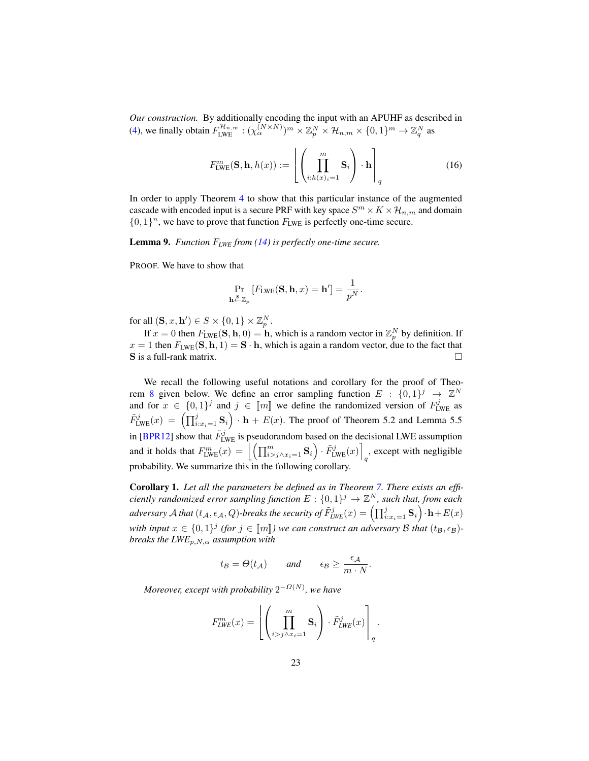*Our construction.* By additionally encoding the input with an APUHF as described in [\(4\)](#page-10-0), we finally obtain  $F_{\text{LWE}}^{\mathcal{H}_{n,m}}: (\chi_\alpha^{(N \times N)})^m \times \mathbb{Z}_p^N \times \mathcal{H}_{n,m} \times \{0,1\}^m \to \mathbb{Z}_q^N$  as

$$
F_{\text{LWE}}^m(\mathbf{S}, \mathbf{h}, h(x)) := \left[ \left( \prod_{i:h(x)_i=1}^m \mathbf{S}_i \right) \cdot \mathbf{h} \right]_q \tag{16}
$$

In order to apply Theorem [4](#page-12-3) to show that this particular instance of the augmented cascade with encoded input is a secure PRF with key space  $S^m \times K \times \mathcal{H}_{n,m}$  and domain  $\{0, 1\}^n$ , we have to prove that function  $F_{\text{LWE}}$  is perfectly one-time secure.

Lemma 9. *Function* F*LWE from [\(14\)](#page-21-0) is perfectly one-time secure.*

PROOF. We have to show that

$$
\Pr_{\mathbf{h}\overset{\$} \leftarrow \mathbb{Z}_p} \left[ F_{\mathrm{LWE}}(\mathbf{S}, \mathbf{h}, x) = \mathbf{h}' \right] = \frac{1}{p^N}.
$$

for all  $(\mathbf{S}, x, \mathbf{h}') \in S \times \{0, 1\} \times \mathbb{Z}_p^N$ .

If  $x = 0$  then  $F_{\text{LWE}}(\mathbf{S}, \mathbf{h}, 0) = \mathbf{h}$ , which is a random vector in  $\mathbb{Z}_p^N$  by definition. If  $x = 1$  then  $F_{LWE}(\mathbf{S}, \mathbf{h}, 1) = \mathbf{S} \cdot \mathbf{h}$ , which is again a random vector, due to the fact that S is a full-rank matrix.

We recall the following useful notations and corollary for the proof of Theo-rem [8](#page-22-0) given below. We define an error sampling function  $E : \{0,1\}^j \rightarrow \mathbb{Z}^N$ and for  $x \in \{0,1\}^j$  and  $j \in [m]$  we define the randomized version of  $F_{\text{LWE}}^j$  as  $\tilde{F}_{\text{LWE}}^j(x) = \left( \prod_{i:x_i=1}^j \mathbf{S}_i \right) \cdot \mathbf{h} + E(x)$ . The proof of Theorem 5.2 and Lemma 5.5 in [\[BPR12\]](#page-25-6) show that  $\tilde{F}_{LWE}^{j}$  is pseudorandom based on the decisional LWE assumption and it holds that  $F_{\text{LWE}}^m(x) = \left| \left( \prod_{i > j \wedge x_i = 1}^m \mathbf{S}_i \right) \cdot \tilde{F}_{\text{LWE}}^j(x) \right|$ , except with negligible probability. We summarize this in the following corollary.

<span id="page-22-1"></span>Corollary 1. *Let all the parameters be defined as in Theorem [7.](#page-21-1) There exists an efficiently randomized error sampling function*  $E: \{0,1\}^j \to \mathbb{Z}^N$ , such that, from each adversary  ${\cal A}$  that  $(t_{\cal A},\epsilon_{\cal A},Q)$ -breaks the security of  $\tilde F^j_{LWE}(x)=\left(\prod_{i:x_i=1}^j{\bf S}_i\right)\cdot{\bf h}+E(x)$ *with input*  $x \in \{0,1\}^j$  (for  $j \in [\![m]\!]$ ) we can construct an adversary B that  $(t_{\mathcal{B}}, \epsilon_{\mathcal{B}})$ -<br>bracks the LWE  $\ldots$  assumption with *breaks the LWE* $_{p,N,\alpha}$  *assumption with* 

$$
t_{\mathcal{B}} = \Theta(t_{\mathcal{A}})
$$
 and  $\epsilon_{\mathcal{B}} \ge \frac{\epsilon_{\mathcal{A}}}{m \cdot N}$ .

<span id="page-22-0"></span> $Moreover, except with probability 2<sup>−Ω(N)</sup>, we have$ 

$$
F_{LWE}^m(x) = \left[ \left( \prod_{i>j \wedge x_i=1}^m \mathbf{S}_i \right) \cdot \tilde{F}_{LWE}^j(x) \right]_q.
$$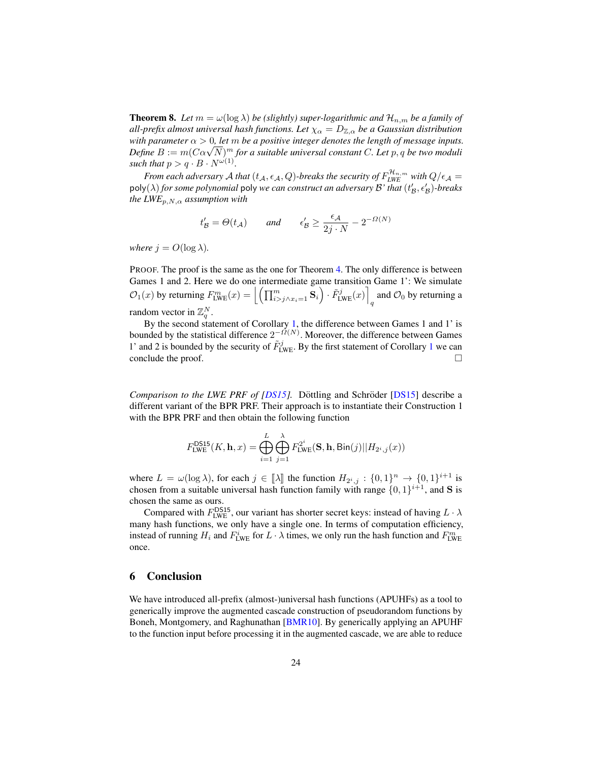**Theorem 8.** Let  $m = \omega(\log \lambda)$  be (slightly) super-logarithmic and  $\mathcal{H}_{n,m}$  be a family of *all-prefix almost universal hash functions. Let*  $\chi_{\alpha} = D_{\mathbb{Z},\alpha}$  *be a Gaussian distribution with parameter*  $\alpha > 0$ , *let m be a positive integer denotes the length of message inputs. with parameter α > v, tet m be a positive integer denotes the tength of message inputs.*<br>Define B := m(Cα√N)<sup>m</sup> for a suitable universal constant C. Let p, q be two moduli such that  $p > q \cdot B \cdot N^{\omega(1)}$ .

*From each adversary A that*  $(t_A, \epsilon_A, Q)$ -breaks the security of  $F_{LWE}^{\mathcal{H}_{n,m}}$  with  $Q/\epsilon_\mathcal{A} =$  $\mathsf{poly}(\lambda)$  *for some polynomial*  $\mathsf{poly}$  *we can construct an adversary*  $\mathcal{B}'$  *that*  $(t'_{\mathcal{B}}, \epsilon'_{\mathcal{B}})$ *-breaks the LWE*<sub>p,N, $\alpha$  *assumption with*</sub>

$$
t'_B = \Theta(t_A)
$$
 and  $\epsilon'_B \ge \frac{\epsilon_A}{2j \cdot N} - 2^{-\Omega(N)}$ 

*where*  $j = O(\log \lambda)$ *.* 

PROOF. The proof is the same as the one for Theorem [4.](#page-12-3) The only difference is between Games 1 and 2. Here we do one intermediate game transition Game 1': We simulate  $\mathcal{O}_1(x)$  by returning  $F^m_{\text{LWE}}(x) = \left| \left( \prod_{i>j \wedge x_i=1}^m \mathbf{S}_i \right) \cdot \tilde{F}^j_{\text{LWE}}(x) \right|$ and  $\mathcal{O}_0$  by returning a random vector in  $\mathbb{Z}_q^N$ .

By the second statement of Corollary [1,](#page-22-1) the difference between Games 1 and 1' is bounded by the statistical difference  $2^{-\Omega(N)}$ . Moreover, the difference between Games [1](#page-22-1)' and 2 is bounded by the security of  $\tilde{F}_{LWE}^j$ . By the first statement of Corollary 1 we can conclude the proof.

*Comparison to the LWE PRF of [\[DS15\]](#page-25-10).* Döttling and Schröder [[DS15\]](#page-25-10) describe a different variant of the BPR PRF. Their approach is to instantiate their Construction 1 with the BPR PRF and then obtain the following function

$$
F_{\text{LWE}}^{\text{DS15}}(K, \mathbf{h}, x) = \bigoplus_{i=1}^{L} \bigoplus_{j=1}^{\lambda} F_{\text{LWE}}^{2^i}(\mathbf{S}, \mathbf{h}, \text{Bin}(j) || H_{2^i, j}(x))
$$

where  $L = \omega(\log \lambda)$ , for each  $j \in [\![ \lambda ]\!]$  the function  $H_{2^i,j} : \{0,1\}^n \to \{0,1\}^{i+1}$  is<br>chosen from a suitable universal back function family with range  $[0,1]^{i+1}$  and S is chosen from a suitable universal hash function family with range  $\{0, 1\}^{i+1}$ , and S is chosen the same as ours.

Compared with  $F_{\text{LWE}}^{\text{DS15}}$ , our variant has shorter secret keys: instead of having  $L \cdot \lambda$ many hash functions, we only have a single one. In terms of computation efficiency, instead of running  $H_i$  and  $F_{\text{LWE}}^i$  for  $L \cdot \lambda$  times, we only run the hash function and  $F_{\text{LWE}}^m$ once.

# 6 Conclusion

We have introduced all-prefix (almost-)universal hash functions (APUHFs) as a tool to generically improve the augmented cascade construction of pseudorandom functions by Boneh, Montgomery, and Raghunathan [\[BMR10\]](#page-25-7). By generically applying an APUHF to the function input before processing it in the augmented cascade, we are able to reduce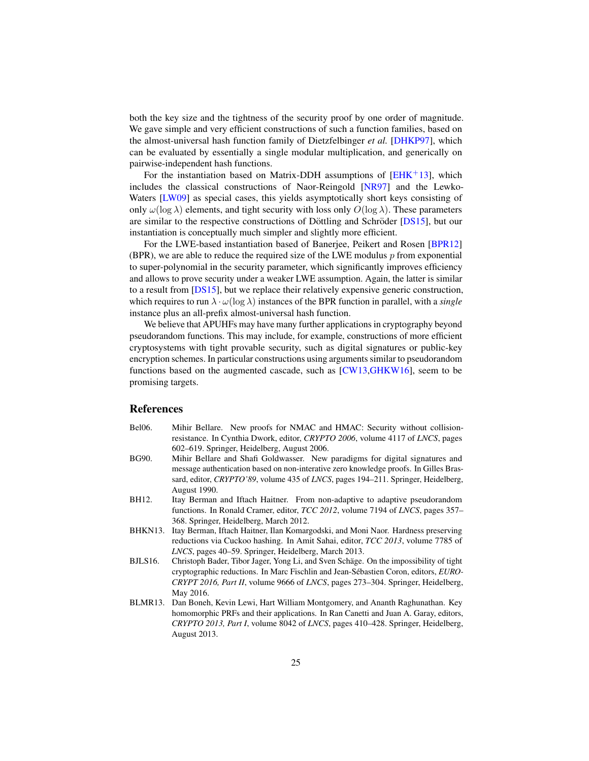both the key size and the tightness of the security proof by one order of magnitude. We gave simple and very efficient constructions of such a function families, based on the almost-universal hash function family of Dietzfelbinger *et al.* [\[DHKP97\]](#page-25-8), which can be evaluated by essentially a single modular multiplication, and generically on pairwise-independent hash functions.

For the instantiation based on Matrix-DDH assumptions of  $[EHK^+13]$  $[EHK^+13]$ , which includes the classical constructions of Naor-Reingold [\[NR97\]](#page-26-3) and the Lewko-Waters [\[LW09\]](#page-26-4) as special cases, this yields asymptotically short keys consisting of only  $\omega(\log \lambda)$  elements, and tight security with loss only  $O(\log \lambda)$ . These parameters are similar to the respective constructions of Döttling and Schröder [[DS15\]](#page-25-10), but our instantiation is conceptually much simpler and slightly more efficient.

For the LWE-based instantiation based of Banerjee, Peikert and Rosen [\[BPR12\]](#page-25-6) (BPR), we are able to reduce the required size of the LWE modulus  $p$  from exponential to super-polynomial in the security parameter, which significantly improves efficiency and allows to prove security under a weaker LWE assumption. Again, the latter is similar to a result from [\[DS15\]](#page-25-10), but we replace their relatively expensive generic construction, which requires to run  $\lambda \cdot \omega(\log \lambda)$  instances of the BPR function in parallel, with a *single* instance plus an all-prefix almost-universal hash function.

We believe that APUHFs may have many further applications in cryptography beyond pseudorandom functions. This may include, for example, constructions of more efficient cryptosystems with tight provable security, such as digital signatures or public-key encryption schemes. In particular constructions using arguments similar to pseudorandom functions based on the augmented cascade, such as [\[CW13,](#page-25-14)[GHKW16\]](#page-25-15), seem to be promising targets.

## **References**

- <span id="page-24-0"></span>Bel06. Mihir Bellare. New proofs for NMAC and HMAC: Security without collisionresistance. In Cynthia Dwork, editor, *CRYPTO 2006*, volume 4117 of *LNCS*, pages 602–619. Springer, Heidelberg, August 2006.
- <span id="page-24-1"></span>BG90. Mihir Bellare and Shafi Goldwasser. New paradigms for digital signatures and message authentication based on non-interative zero knowledge proofs. In Gilles Brassard, editor, *CRYPTO'89*, volume 435 of *LNCS*, pages 194–211. Springer, Heidelberg, August 1990.
- <span id="page-24-4"></span>BH12. Itay Berman and Iftach Haitner. From non-adaptive to adaptive pseudorandom functions. In Ronald Cramer, editor, *TCC 2012*, volume 7194 of *LNCS*, pages 357– 368. Springer, Heidelberg, March 2012.
- <span id="page-24-5"></span>BHKN13. Itay Berman, Iftach Haitner, Ilan Komargodski, and Moni Naor. Hardness preserving reductions via Cuckoo hashing. In Amit Sahai, editor, *TCC 2013*, volume 7785 of *LNCS*, pages 40–59. Springer, Heidelberg, March 2013.
- <span id="page-24-2"></span>BJLS16. Christoph Bader, Tibor Jager, Yong Li, and Sven Schäge. On the impossibility of tight cryptographic reductions. In Marc Fischlin and Jean-Sébastien Coron, editors, *EURO-CRYPT 2016, Part II*, volume 9666 of *LNCS*, pages 273–304. Springer, Heidelberg, May 2016.
- <span id="page-24-3"></span>BLMR13. Dan Boneh, Kevin Lewi, Hart William Montgomery, and Ananth Raghunathan. Key homomorphic PRFs and their applications. In Ran Canetti and Juan A. Garay, editors, *CRYPTO 2013, Part I*, volume 8042 of *LNCS*, pages 410–428. Springer, Heidelberg, August 2013.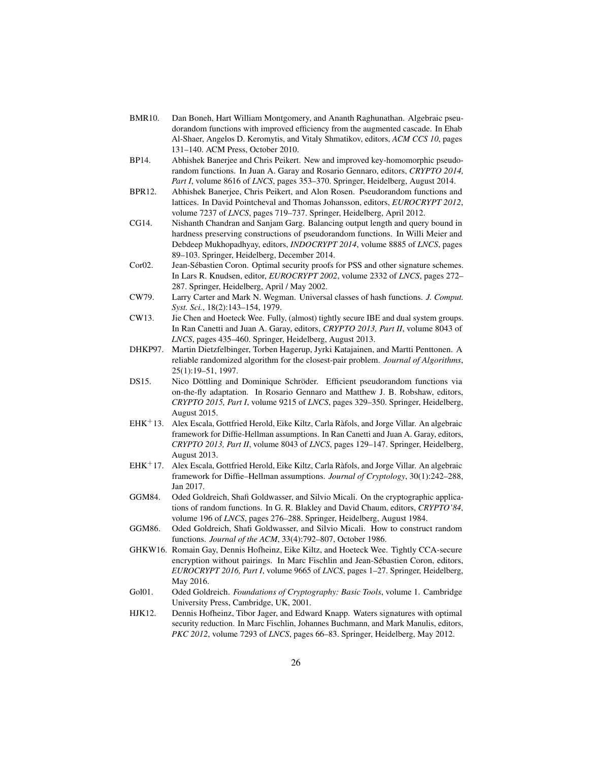- <span id="page-25-7"></span>BMR10. Dan Boneh, Hart William Montgomery, and Ananth Raghunathan. Algebraic pseudorandom functions with improved efficiency from the augmented cascade. In Ehab Al-Shaer, Angelos D. Keromytis, and Vitaly Shmatikov, editors, *ACM CCS 10*, pages 131–140. ACM Press, October 2010.
- <span id="page-25-9"></span>BP14. Abhishek Banerjee and Chris Peikert. New and improved key-homomorphic pseudorandom functions. In Juan A. Garay and Rosario Gennaro, editors, *CRYPTO 2014, Part I*, volume 8616 of *LNCS*, pages 353–370. Springer, Heidelberg, August 2014.
- <span id="page-25-6"></span>BPR12. Abhishek Banerjee, Chris Peikert, and Alon Rosen. Pseudorandom functions and lattices. In David Pointcheval and Thomas Johansson, editors, *EUROCRYPT 2012*, volume 7237 of *LNCS*, pages 719–737. Springer, Heidelberg, April 2012.
- <span id="page-25-11"></span>CG14. Nishanth Chandran and Sanjam Garg. Balancing output length and query bound in hardness preserving constructions of pseudorandom functions. In Willi Meier and Debdeep Mukhopadhyay, editors, *INDOCRYPT 2014*, volume 8885 of *LNCS*, pages 89–103. Springer, Heidelberg, December 2014.
- <span id="page-25-3"></span>Cor02. Jean-Sebastien Coron. Optimal security proofs for PSS and other signature schemes. ´ In Lars R. Knudsen, editor, *EUROCRYPT 2002*, volume 2332 of *LNCS*, pages 272– 287. Springer, Heidelberg, April / May 2002.
- <span id="page-25-12"></span>CW79. Larry Carter and Mark N. Wegman. Universal classes of hash functions. *J. Comput. Syst. Sci.*, 18(2):143–154, 1979.
- <span id="page-25-14"></span>CW13. Jie Chen and Hoeteck Wee. Fully, (almost) tightly secure IBE and dual system groups. In Ran Canetti and Juan A. Garay, editors, *CRYPTO 2013, Part II*, volume 8043 of *LNCS*, pages 435–460. Springer, Heidelberg, August 2013.
- <span id="page-25-8"></span>DHKP97. Martin Dietzfelbinger, Torben Hagerup, Jyrki Katajainen, and Martti Penttonen. A reliable randomized algorithm for the closest-pair problem. *Journal of Algorithms*, 25(1):19–51, 1997.
- <span id="page-25-10"></span>DS15. Nico Döttling and Dominique Schröder. Efficient pseudorandom functions via on-the-fly adaptation. In Rosario Gennaro and Matthew J. B. Robshaw, editors, *CRYPTO 2015, Part I*, volume 9215 of *LNCS*, pages 329–350. Springer, Heidelberg, August 2015.
- <span id="page-25-13"></span> $EHK<sup>+</sup>13.$  Alex Escala, Gottfried Herold, Eike Kiltz, Carla Ràfols, and Jorge Villar. An algebraic framework for Diffie-Hellman assumptions. In Ran Canetti and Juan A. Garay, editors, *CRYPTO 2013, Part II*, volume 8043 of *LNCS*, pages 129–147. Springer, Heidelberg, August 2013.
- <span id="page-25-5"></span>EHK<sup>+</sup>17. Alex Escala, Gottfried Herold, Eike Kiltz, Carla Rafols, and Jorge Villar. An algebraic ` framework for Diffie–Hellman assumptions. *Journal of Cryptology*, 30(1):242–288, Jan 2017.
- <span id="page-25-1"></span>GGM84. Oded Goldreich, Shafi Goldwasser, and Silvio Micali. On the cryptographic applications of random functions. In G. R. Blakley and David Chaum, editors, *CRYPTO'84*, volume 196 of *LNCS*, pages 276–288. Springer, Heidelberg, August 1984.
- <span id="page-25-2"></span>GGM86. Oded Goldreich, Shafi Goldwasser, and Silvio Micali. How to construct random functions. *Journal of the ACM*, 33(4):792–807, October 1986.
- <span id="page-25-15"></span>GHKW16. Romain Gay, Dennis Hofheinz, Eike Kiltz, and Hoeteck Wee. Tightly CCA-secure encryption without pairings. In Marc Fischlin and Jean-Sebastien Coron, editors, ´ *EUROCRYPT 2016, Part I*, volume 9665 of *LNCS*, pages 1–27. Springer, Heidelberg, May 2016.
- <span id="page-25-0"></span>Gol01. Oded Goldreich. *Foundations of Cryptography: Basic Tools*, volume 1. Cambridge University Press, Cambridge, UK, 2001.
- <span id="page-25-4"></span>HJK12. Dennis Hofheinz, Tibor Jager, and Edward Knapp. Waters signatures with optimal security reduction. In Marc Fischlin, Johannes Buchmann, and Mark Manulis, editors, *PKC 2012*, volume 7293 of *LNCS*, pages 66–83. Springer, Heidelberg, May 2012.